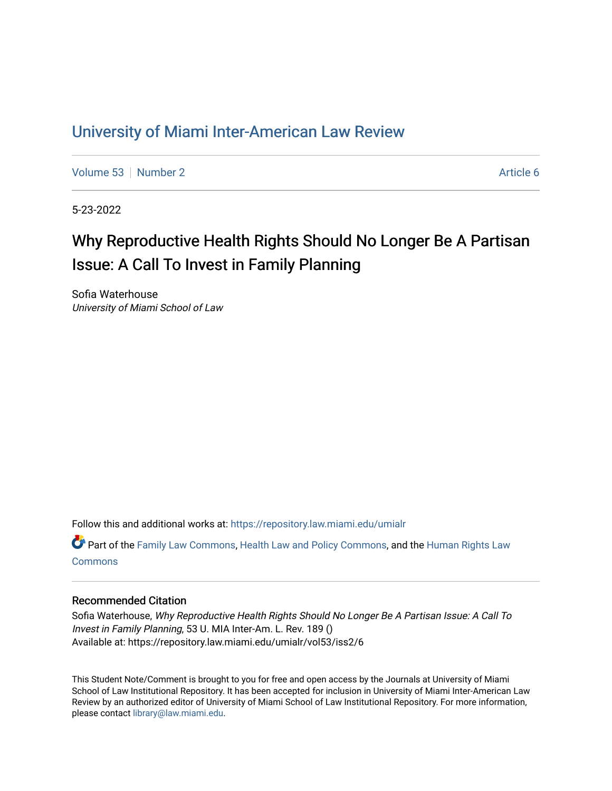## [University of Miami Inter-American Law Review](https://repository.law.miami.edu/umialr)

[Volume 53](https://repository.law.miami.edu/umialr/vol53) [Number 2](https://repository.law.miami.edu/umialr/vol53/iss2) Article 6

5-23-2022

# Why Reproductive Health Rights Should No Longer Be A Partisan Issue: A Call To Invest in Family Planning

Sofia Waterhouse University of Miami School of Law

Follow this and additional works at: [https://repository.law.miami.edu/umialr](https://repository.law.miami.edu/umialr?utm_source=repository.law.miami.edu%2Fumialr%2Fvol53%2Fiss2%2F6&utm_medium=PDF&utm_campaign=PDFCoverPages)

Part of the [Family Law Commons,](https://network.bepress.com/hgg/discipline/602?utm_source=repository.law.miami.edu%2Fumialr%2Fvol53%2Fiss2%2F6&utm_medium=PDF&utm_campaign=PDFCoverPages) [Health Law and Policy Commons](https://network.bepress.com/hgg/discipline/901?utm_source=repository.law.miami.edu%2Fumialr%2Fvol53%2Fiss2%2F6&utm_medium=PDF&utm_campaign=PDFCoverPages), and the [Human Rights Law](https://network.bepress.com/hgg/discipline/847?utm_source=repository.law.miami.edu%2Fumialr%2Fvol53%2Fiss2%2F6&utm_medium=PDF&utm_campaign=PDFCoverPages)  **[Commons](https://network.bepress.com/hgg/discipline/847?utm_source=repository.law.miami.edu%2Fumialr%2Fvol53%2Fiss2%2F6&utm_medium=PDF&utm_campaign=PDFCoverPages)** 

## Recommended Citation

Sofia Waterhouse, Why Reproductive Health Rights Should No Longer Be A Partisan Issue: A Call To Invest in Family Planning, 53 U. MIA Inter-Am. L. Rev. 189 () Available at: https://repository.law.miami.edu/umialr/vol53/iss2/6

This Student Note/Comment is brought to you for free and open access by the Journals at University of Miami School of Law Institutional Repository. It has been accepted for inclusion in University of Miami Inter-American Law Review by an authorized editor of University of Miami School of Law Institutional Repository. For more information, please contact [library@law.miami.edu.](mailto:library@law.miami.edu)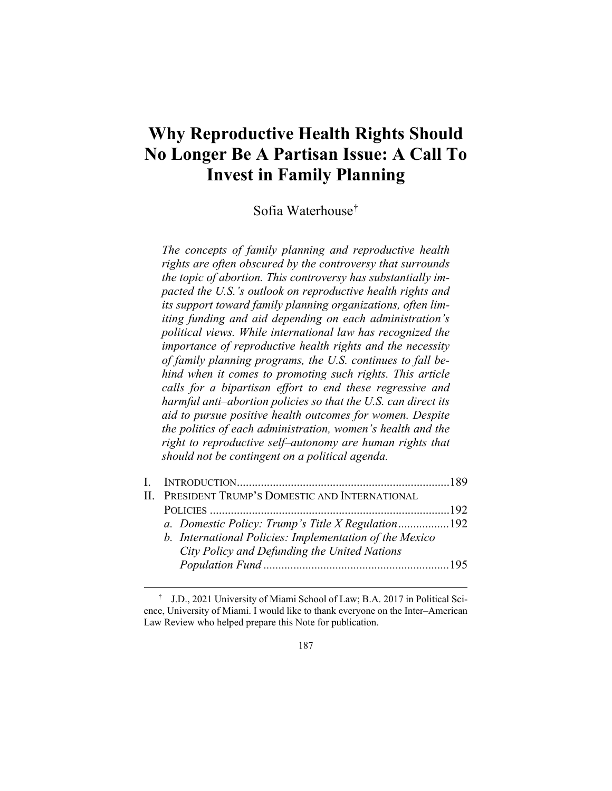## **Why Reproductive Health Rights Should No Longer Be A Partisan Issue: A Call To Invest in Family Planning**

Sofia Waterhouse[†](#page-1-0)

*The concepts of family planning and reproductive health rights are often obscured by the controversy that surrounds the topic of abortion. This controversy has substantially impacted the U.S.'s outlook on reproductive health rights and its support toward family planning organizations, often limiting funding and aid depending on each administration's political views. While international law has recognized the importance of reproductive health rights and the necessity of family planning programs, the U.S. continues to fall behind when it comes to promoting such rights. This article calls for a bipartisan effort to end these regressive and harmful anti–abortion policies so that the U.S. can direct its aid to pursue positive health outcomes for women. Despite the politics of each administration, women's health and the right to reproductive self–autonomy are human rights that should not be contingent on a political agenda.*

|  | II. PRESIDENT TRUMP'S DOMESTIC AND INTERNATIONAL        |  |
|--|---------------------------------------------------------|--|
|  |                                                         |  |
|  | a. Domestic Policy: Trump's Title X Regulation192       |  |
|  | b. International Policies: Implementation of the Mexico |  |
|  | City Policy and Defunding the United Nations            |  |
|  |                                                         |  |
|  |                                                         |  |

<span id="page-1-0"></span> <sup>†</sup> J.D., 2021 University of Miami School of Law; B.A. 2017 in Political Science, University of Miami. I would like to thank everyone on the Inter–American Law Review who helped prepare this Note for publication.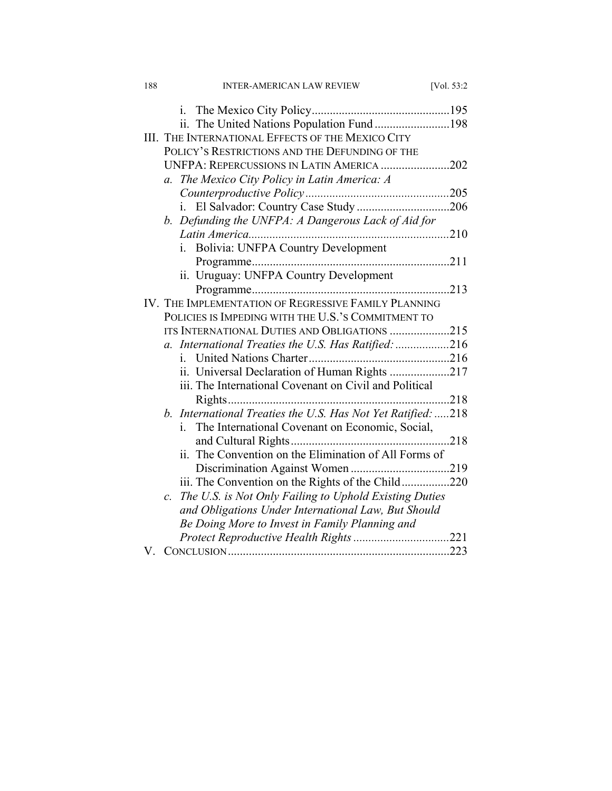| 188 | <b>INTER-AMERICAN LAW REVIEW</b>                                         | [Vol. 53:2] |
|-----|--------------------------------------------------------------------------|-------------|
|     |                                                                          |             |
|     | ii. The United Nations Population Fund 198                               |             |
|     | III. THE INTERNATIONAL EFFECTS OF THE MEXICO CITY                        |             |
|     | POLICY'S RESTRICTIONS AND THE DEFUNDING OF THE                           |             |
|     | UNFPA: REPERCUSSIONS IN LATIN AMERICA 202                                |             |
|     | The Mexico City Policy in Latin America: A<br>$a_{\cdot}$                |             |
|     |                                                                          |             |
|     | El Salvador: Country Case Study206<br>i.                                 |             |
|     | b. Defunding the UNFPA: A Dangerous Lack of Aid for                      |             |
|     |                                                                          |             |
|     | Bolivia: UNFPA Country Development                                       |             |
|     |                                                                          |             |
|     | ii. Uruguay: UNFPA Country Development                                   |             |
|     |                                                                          |             |
|     | IV. THE IMPLEMENTATION OF REGRESSIVE FAMILY PLANNING                     |             |
|     | POLICIES IS IMPEDING WITH THE U.S.'S COMMITMENT TO                       |             |
|     | ITS INTERNATIONAL DUTIES AND OBLIGATIONS 215                             |             |
|     | International Treaties the U.S. Has Ratified: 216<br>$a_{\cdot}$         |             |
|     | i.                                                                       |             |
|     | ii. Universal Declaration of Human Rights 217                            |             |
|     | iii. The International Covenant on Civil and Political                   |             |
|     |                                                                          |             |
|     | b. International Treaties the U.S. Has Not Yet Ratified: 218             |             |
|     | The International Covenant on Economic, Social,<br>i.                    |             |
|     |                                                                          |             |
|     | ii. The Convention on the Elimination of All Forms of                    |             |
|     |                                                                          |             |
|     | iii. The Convention on the Rights of the Child220                        |             |
|     | The U.S. is Not Only Failing to Uphold Existing Duties<br>$\mathcal{C}.$ |             |
|     | and Obligations Under International Law, But Should                      |             |
|     | Be Doing More to Invest in Family Planning and                           |             |
|     |                                                                          |             |
| V.  |                                                                          |             |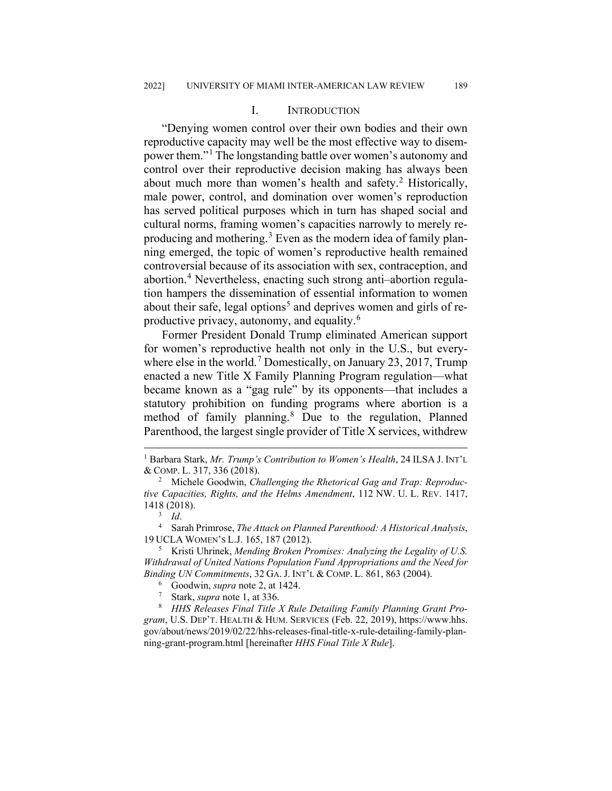#### I. INTRODUCTION

"Denying women control over their own bodies and their own reproductive capacity may well be the most effective way to disempower them."[1](#page-3-0) The longstanding battle over women's autonomy and control over their reproductive decision making has always been about much more than women's health and safety.<sup>[2](#page-3-1)</sup> Historically, male power, control, and domination over women's reproduction has served political purposes which in turn has shaped social and cultural norms, framing women's capacities narrowly to merely reproducing and mothering.[3](#page-3-2) Even as the modern idea of family planning emerged, the topic of women's reproductive health remained controversial because of its association with sex, contraception, and abortion.[4](#page-3-3) Nevertheless, enacting such strong anti–abortion regulation hampers the dissemination of essential information to women about their safe, legal options<sup>[5](#page-3-4)</sup> and deprives women and girls of reproductive privacy, autonomy, and equality.[6](#page-3-5)

Former President Donald Trump eliminated American support for women's reproductive health not only in the U.S., but every-where else in the world.<sup>[7](#page-3-6)</sup> Domestically, on January 23, 2017, Trump enacted a new Title X Family Planning Program regulation—what became known as a "gag rule" by its opponents—that includes a statutory prohibition on funding programs where abortion is a method of family planning.<sup>[8](#page-3-7)</sup> Due to the regulation, Planned Parenthood, the largest single provider of Title X services, withdrew

<span id="page-3-0"></span> <sup>1</sup> Barbara Stark, *Mr. Trump's Contribution to Women's Health*, 24 ILSA J. INT'L & COMP. L. 317, 336 (2018).

<span id="page-3-1"></span><sup>2</sup> Michele Goodwin, *Challenging the Rhetorical Gag and Trap: Reproductive Capacities, Rights, and the Helms Amendment*, 112 NW. U. L. REV. 1417, 1418 (2018).

<sup>3</sup> *Id*.

<span id="page-3-3"></span><span id="page-3-2"></span><sup>4</sup> Sarah Primrose, *The Attack on Planned Parenthood: A Historical Analysis*, 19 UCLA WOMEN'S L.J. 165, 187 (2012).

<span id="page-3-4"></span><sup>5</sup> Kristi Uhrinek, *Mending Broken Promises: Analyzing the Legality of U.S. Withdrawal of United Nations Population Fund Appropriations and the Need for Binding UN Commitments*, 32 GA. J. INT'L & COMP. L. 861, 863 (2004).

 $\frac{6}{7}$  Goodwin, *supra* note 2, at 1424.

Stark, *supra* note 1, at 336.

<span id="page-3-7"></span><span id="page-3-6"></span><span id="page-3-5"></span><sup>8</sup> *HHS Releases Final Title X Rule Detailing Family Planning Grant Program*, U.S. DEP'T. HEALTH & HUM. SERVICES (Feb. 22, 2019), https://www.hhs. gov/about/news/2019/02/22/hhs-releases-final-title-x-rule-detailing-family-planning-grant-program.html [hereinafter *HHS Final Title X Rule*].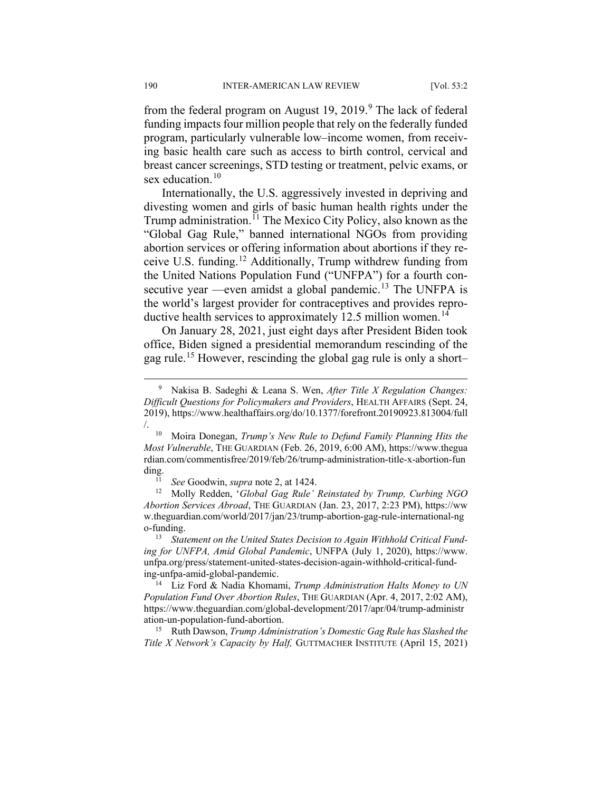from the federal program on August 1[9](#page-4-0), 2019. $9$  The lack of federal funding impacts four million people that rely on the federally funded program, particularly vulnerable low–income women, from receiving basic health care such as access to birth control, cervical and breast cancer screenings, STD testing or treatment, pelvic exams, or sex education. $10$ 

Internationally, the U.S. aggressively invested in depriving and divesting women and girls of basic human health rights under the Trump administration.<sup>[11](#page-4-2)</sup> The Mexico City Policy, also known as the "Global Gag Rule," banned international NGOs from providing abortion services or offering information about abortions if they receive U.S. funding.[12](#page-4-3) Additionally, Trump withdrew funding from the United Nations Population Fund ("UNFPA") for a fourth con-secutive year —even amidst a global pandemic.<sup>[13](#page-4-4)</sup> The UNFPA is the world's largest provider for contraceptives and provides repro-ductive health services to approximately 12.5 million women.<sup>[14](#page-4-5)</sup>

On January 28, 2021, just eight days after President Biden took office, Biden signed a presidential memorandum rescinding of the gag rule.[15](#page-4-6) However, rescinding the global gag rule is only a short–

<span id="page-4-1"></span><sup>10</sup> Moira Donegan, *Trump's New Rule to Defund Family Planning Hits the Most Vulnerable*, THE GUARDIAN (Feb. 26, 2019, 6:00 AM), https://www.thegua rdian.com/commentisfree/2019/feb/26/trump-administration-title-x-abortion-fun ding.

<sup>11</sup> *See* Goodwin, *supra* note 2, at 1424.

<span id="page-4-3"></span><span id="page-4-2"></span><sup>12</sup> Molly Redden, '*Global Gag Rule' Reinstated by Trump, Curbing NGO Abortion Services Abroad*, THE GUARDIAN (Jan. 23, 2017, 2:23 PM), https://ww w.theguardian.com/world/2017/jan/23/trump-abortion-gag-rule-international-ng o-funding.

<span id="page-4-4"></span><sup>13</sup> Statement on the United States Decision to Again Withhold Critical Fund*ing for UNFPA, Amid Global Pandemic*, UNFPA (July 1, 2020), https://www. unfpa.org/press/statement-united-states-decision-again-withhold-critical-funding-unfpa-amid-global-pandemic.

<span id="page-4-5"></span><sup>14</sup> Liz Ford & Nadia Khomami, *Trump Administration Halts Money to UN Population Fund Over Abortion Rules*, THE GUARDIAN (Apr. 4, 2017, 2:02 AM), https://www.theguardian.com/global-development/2017/apr/04/trump-administr ation-un-population-fund-abortion.

<span id="page-4-6"></span><sup>15</sup> Ruth Dawson, *Trump Administration's Domestic Gag Rule has Slashed the Title X Network's Capacity by Half,* GUTTMACHER INSTITUTE (April 15, 2021)

<span id="page-4-0"></span> <sup>9</sup> Nakisa B. Sadeghi & Leana S. Wen, *After Title X Regulation Changes: Difficult Questions for Policymakers and Providers*, HEALTH AFFAIRS (Sept. 24, 2019), https://www.healthaffairs.org/do/10.1377/forefront.20190923.813004/full /.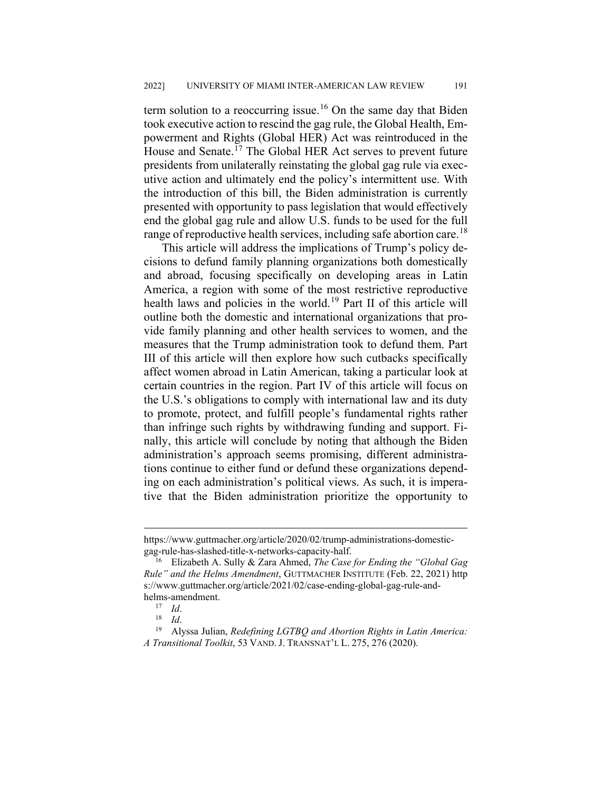term solution to a reoccurring issue.<sup>[16](#page-5-0)</sup> On the same day that Biden took executive action to rescind the gag rule, the Global Health, Empowerment and Rights (Global HER) Act was reintroduced in the House and Senate.<sup>[17](#page-5-1)</sup> The Global HER Act serves to prevent future presidents from unilaterally reinstating the global gag rule via executive action and ultimately end the policy's intermittent use. With the introduction of this bill, the Biden administration is currently presented with opportunity to pass legislation that would effectively end the global gag rule and allow U.S. funds to be used for the full range of reproductive health services, including safe abortion care.<sup>[18](#page-5-2)</sup>

This article will address the implications of Trump's policy decisions to defund family planning organizations both domestically and abroad, focusing specifically on developing areas in Latin America, a region with some of the most restrictive reproductive health laws and policies in the world.[19](#page-5-3) Part II of this article will outline both the domestic and international organizations that provide family planning and other health services to women, and the measures that the Trump administration took to defund them. Part III of this article will then explore how such cutbacks specifically affect women abroad in Latin American, taking a particular look at certain countries in the region. Part IV of this article will focus on the U.S.'s obligations to comply with international law and its duty to promote, protect, and fulfill people's fundamental rights rather than infringe such rights by withdrawing funding and support. Finally, this article will conclude by noting that although the Biden administration's approach seems promising, different administrations continue to either fund or defund these organizations depending on each administration's political views. As such, it is imperative that the Biden administration prioritize the opportunity to

https://www.guttmacher.org/article/2020/02/trump-administrations-domesticgag-rule-has-slashed-title-x-networks-capacity-half.

<span id="page-5-0"></span><sup>16</sup> Elizabeth A. Sully & Zara Ahmed, *The Case for Ending the "Global Gag Rule" and the Helms Amendment*, GUTTMACHER INSTITUTE (Feb. 22, 2021) http s://www.guttmacher.org/article/2021/02/case-ending-global-gag-rule-andhelms-amendment.<br> $^{17}$  *Id* 

 $\frac{17}{18}$  *Id.* 

 $\frac{18}{19}$  *Id.* 

<span id="page-5-3"></span><span id="page-5-2"></span><span id="page-5-1"></span><sup>19</sup> Alyssa Julian, *Redefining LGTBQ and Abortion Rights in Latin America: A Transitional Toolkit*, 53 VAND. J. TRANSNAT'L L. 275, 276 (2020).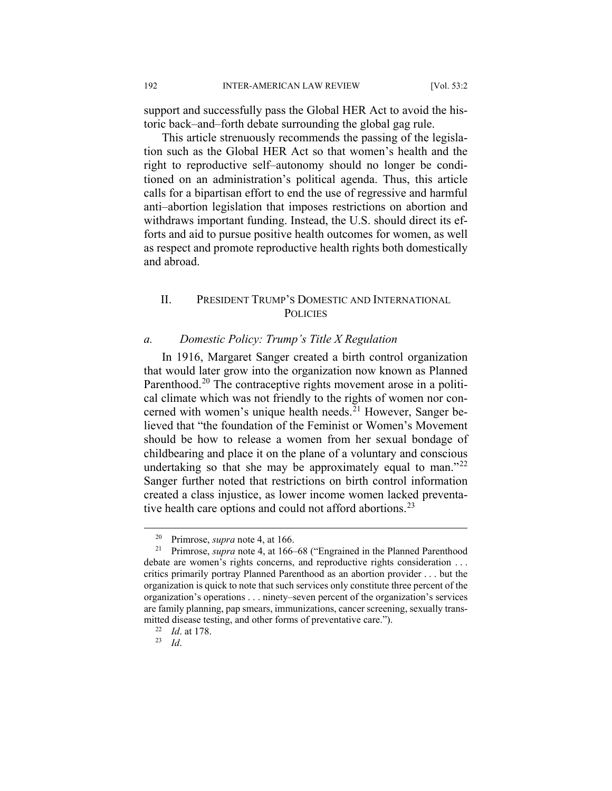support and successfully pass the Global HER Act to avoid the historic back–and–forth debate surrounding the global gag rule.

This article strenuously recommends the passing of the legislation such as the Global HER Act so that women's health and the right to reproductive self–autonomy should no longer be conditioned on an administration's political agenda. Thus, this article calls for a bipartisan effort to end the use of regressive and harmful anti–abortion legislation that imposes restrictions on abortion and withdraws important funding. Instead, the U.S. should direct its efforts and aid to pursue positive health outcomes for women, as well as respect and promote reproductive health rights both domestically and abroad.

## II. PRESIDENT TRUMP'S DOMESTIC AND INTERNATIONAL **POLICIES**

#### *a. Domestic Policy: Trump's Title X Regulation*

In 1916, Margaret Sanger created a birth control organization that would later grow into the organization now known as Planned Parenthood.<sup>[20](#page-6-0)</sup> The contraceptive rights movement arose in a political climate which was not friendly to the rights of women nor con-cerned with women's unique health needs.<sup>[21](#page-6-1)</sup> However, Sanger believed that "the foundation of the Feminist or Women's Movement should be how to release a women from her sexual bondage of childbearing and place it on the plane of a voluntary and conscious undertaking so that she may be approximately equal to man."<sup>[22](#page-6-2)</sup> Sanger further noted that restrictions on birth control information created a class injustice, as lower income women lacked preventa-tive health care options and could not afford abortions.<sup>[23](#page-6-3)</sup>

<sup>&</sup>lt;sup>20</sup> Primrose, *supra* note 4, at 166.<br><sup>21</sup> Primrose, *supra* note 4, at 166-

<span id="page-6-1"></span><span id="page-6-0"></span><sup>21</sup> Primrose, *supra* note 4, at 166–68 ("Engrained in the Planned Parenthood debate are women's rights concerns, and reproductive rights consideration . . . critics primarily portray Planned Parenthood as an abortion provider . . . but the organization is quick to note that such services only constitute three percent of the organization's operations . . . ninety–seven percent of the organization's services are family planning, pap smears, immunizations, cancer screening, sexually transmitted disease testing, and other forms of preventative care.").

<sup>22</sup> *Id*. at 178.

<span id="page-6-3"></span><span id="page-6-2"></span><sup>23</sup> *Id*.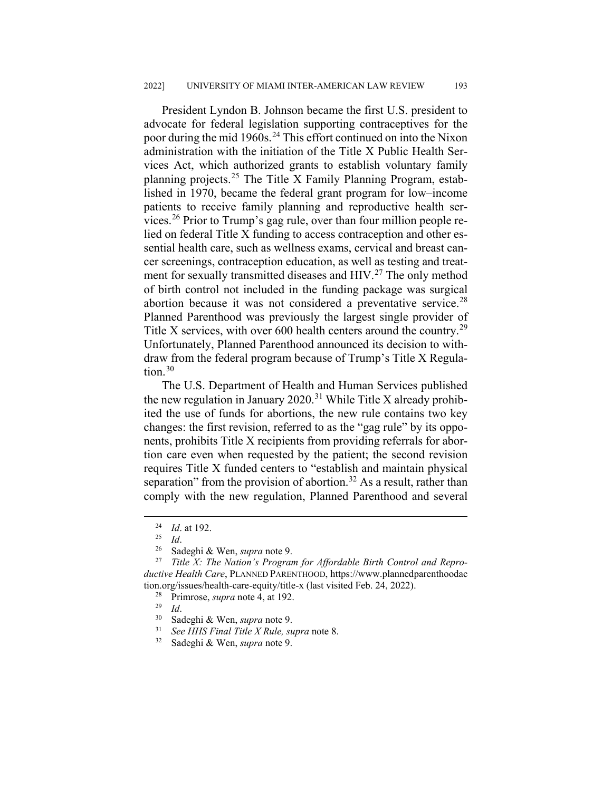President Lyndon B. Johnson became the first U.S. president to advocate for federal legislation supporting contraceptives for the poor during the mid 1960s.<sup>[24](#page-7-0)</sup> This effort continued on into the Nixon administration with the initiation of the Title X Public Health Services Act, which authorized grants to establish voluntary family planning projects.[25](#page-7-1) The Title X Family Planning Program, established in 1970, became the federal grant program for low–income patients to receive family planning and reproductive health services. [26](#page-7-2) Prior to Trump's gag rule, over than four million people relied on federal Title X funding to access contraception and other essential health care, such as wellness exams, cervical and breast cancer screenings, contraception education, as well as testing and treat-ment for sexually transmitted diseases and HIV.<sup>[27](#page-7-3)</sup> The only method of birth control not included in the funding package was surgical abortion because it was not considered a preventative service. $28$ Planned Parenthood was previously the largest single provider of Title X services, with over 600 health centers around the country.<sup>[29](#page-7-5)</sup> Unfortunately, Planned Parenthood announced its decision to withdraw from the federal program because of Trump's Title X Regulation. $30$ 

The U.S. Department of Health and Human Services published the new regulation in January 2020.<sup>[31](#page-7-7)</sup> While Title X already prohibited the use of funds for abortions, the new rule contains two key changes: the first revision, referred to as the "gag rule" by its opponents, prohibits Title X recipients from providing referrals for abortion care even when requested by the patient; the second revision requires Title X funded centers to "establish and maintain physical separation" from the provision of abortion.<sup>[32](#page-7-8)</sup> As a result, rather than comply with the new regulation, Planned Parenthood and several

- <sup>28</sup> Primrose, *supra* note 4, at 192.
- $\frac{29}{30}$  *Id.*

 $\frac{24}{25}$  *Id.* at 192.

 $\frac{25}{26}$  *Id.* 

<sup>26</sup> Sadeghi & Wen, *supra* note 9.

<span id="page-7-6"></span><span id="page-7-5"></span><span id="page-7-4"></span><span id="page-7-3"></span><span id="page-7-2"></span><span id="page-7-1"></span><span id="page-7-0"></span>Title X: The Nation's Program for Affordable Birth Control and Repro*ductive Health Care*, PLANNED PARENTHOOD, https://www.plannedparenthoodac tion.org/issues/health-care-equity/title-x (last visited Feb. 24, 2022).

<sup>30</sup> Sadeghi & Wen, *supra* note 9.

<span id="page-7-8"></span><span id="page-7-7"></span><sup>31</sup> *See HHS Final Title X Rule, supra* note 8.

Sadeghi & Wen, *supra* note 9.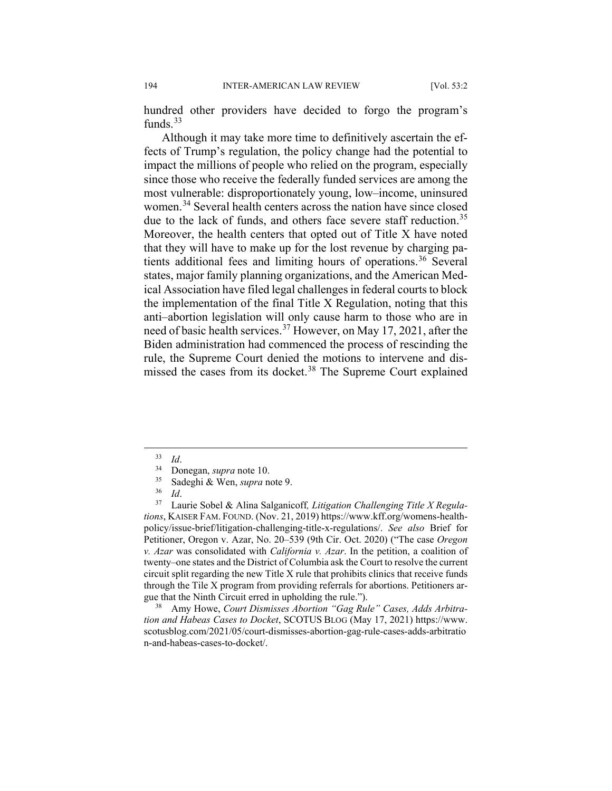hundred other providers have decided to forgo the program's funds. $33$ 

Although it may take more time to definitively ascertain the effects of Trump's regulation, the policy change had the potential to impact the millions of people who relied on the program, especially since those who receive the federally funded services are among the most vulnerable: disproportionately young, low–income, uninsured women.<sup>[34](#page-8-1)</sup> Several health centers across the nation have since closed due to the lack of funds, and others face severe staff reduction.<sup>[35](#page-8-2)</sup> Moreover, the health centers that opted out of Title X have noted that they will have to make up for the lost revenue by charging pa-tients additional fees and limiting hours of operations.<sup>[36](#page-8-3)</sup> Several states, major family planning organizations, and the American Medical Association have filed legal challenges in federal courts to block the implementation of the final Title X Regulation, noting that this anti–abortion legislation will only cause harm to those who are in need of basic health services.[37](#page-8-4) However, on May 17, 2021, after the Biden administration had commenced the process of rescinding the rule, the Supreme Court denied the motions to intervene and dis-missed the cases from its docket.<sup>[38](#page-8-5)</sup> The Supreme Court explained

<span id="page-8-4"></span><span id="page-8-3"></span><span id="page-8-2"></span><span id="page-8-1"></span><span id="page-8-0"></span>Laurie Sobel & Alina Salganicoff, Litigation Challenging Title X Regula*tions*, KAISER FAM. FOUND. (Nov. 21, 2019) https://www.kff.org/womens-healthpolicy/issue-brief/litigation-challenging-title-x-regulations/. *See also* Brief for Petitioner, Oregon v. Azar, No. 20–539 (9th Cir. Oct. 2020) ("The case *Oregon v. Azar* was consolidated with *California v. Azar*. In the petition, a coalition of twenty–one states and the District of Columbia ask the Court to resolve the current circuit split regarding the new Title X rule that prohibits clinics that receive funds through the Tile X program from providing referrals for abortions. Petitioners argue that the Ninth Circuit erred in upholding the rule.").

<span id="page-8-5"></span><sup>38</sup> Amy Howe, *Court Dismisses Abortion "Gag Rule" Cases, Adds Arbitration and Habeas Cases to Docket*, SCOTUS BLOG (May 17, 2021) https://www. scotusblog.com/2021/05/court-dismisses-abortion-gag-rule-cases-adds-arbitratio n-and-habeas-cases-to-docket/.

 <sup>33</sup> *Id*.

 $^{34}$  Donegan, *supra* note 10.<br> $^{35}$  Sodephi & Wen, *supra* n

<sup>35</sup> Sadeghi & Wen, *supra* note 9.

 $rac{36}{37}$  *Id.*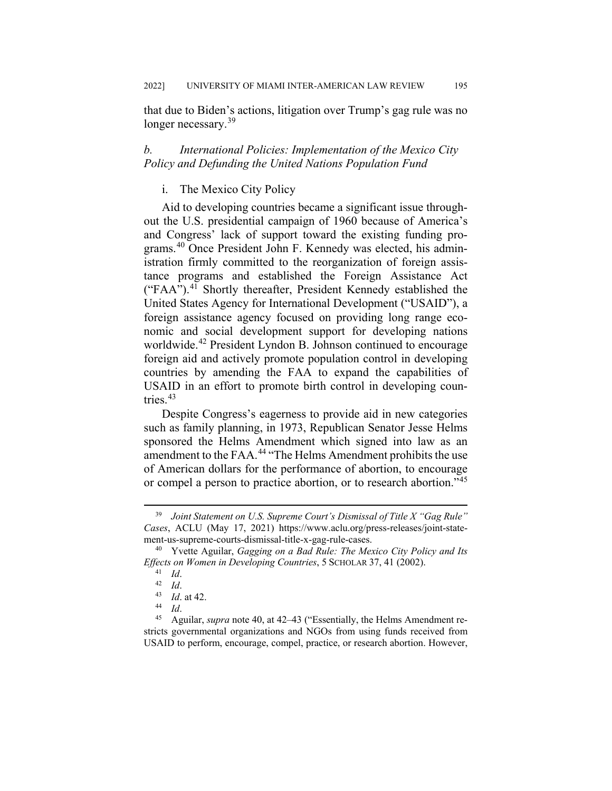that due to Biden's actions, litigation over Trump's gag rule was no longer necessary.<sup>[39](#page-9-0)</sup>

## *b. International Policies: Implementation of the Mexico City Policy and Defunding the United Nations Population Fund*

### i. The Mexico City Policy

Aid to developing countries became a significant issue throughout the U.S. presidential campaign of 1960 because of America's and Congress' lack of support toward the existing funding programs.[40](#page-9-1) Once President John F. Kennedy was elected, his administration firmly committed to the reorganization of foreign assistance programs and established the Foreign Assistance Act ("FAA").<sup>[41](#page-9-2)</sup> Shortly thereafter, President Kennedy established the United States Agency for International Development ("USAID"), a foreign assistance agency focused on providing long range economic and social development support for developing nations worldwide.<sup>[42](#page-9-3)</sup> President Lyndon B. Johnson continued to encourage foreign aid and actively promote population control in developing countries by amending the FAA to expand the capabilities of USAID in an effort to promote birth control in developing countries. $43$ 

Despite Congress's eagerness to provide aid in new categories such as family planning, in 1973, Republican Senator Jesse Helms sponsored the Helms Amendment which signed into law as an amendment to the FAA.<sup>[44](#page-9-5)</sup> "The Helms Amendment prohibits the use of American dollars for the performance of abortion, to encourage or compel a person to practice abortion, or to research abortion."[45](#page-9-6)

<span id="page-9-0"></span> <sup>39</sup> *Joint Statement on U.S. Supreme Court's Dismissal of Title X "Gag Rule" Cases*, ACLU (May 17, 2021) https://www.aclu.org/press-releases/joint-statement-us-supreme-courts-dismissal-title-x-gag-rule-cases.

<span id="page-9-3"></span><span id="page-9-2"></span><span id="page-9-1"></span><sup>40</sup> Yvette Aguilar, *Gagging on a Bad Rule: The Mexico City Policy and Its Effects on Women in Developing Countries*, 5 SCHOLAR 37, 41 (2002).

<sup>41</sup> *Id*.

 $\frac{42}{43}$  *Id.* 

 $\frac{43}{44}$  *Id.* at 42.

<sup>44</sup> *Id*.

<span id="page-9-6"></span><span id="page-9-5"></span><span id="page-9-4"></span><sup>45</sup> Aguilar, *supra* note 40, at 42–43 ("Essentially, the Helms Amendment restricts governmental organizations and NGOs from using funds received from USAID to perform, encourage, compel, practice, or research abortion. However,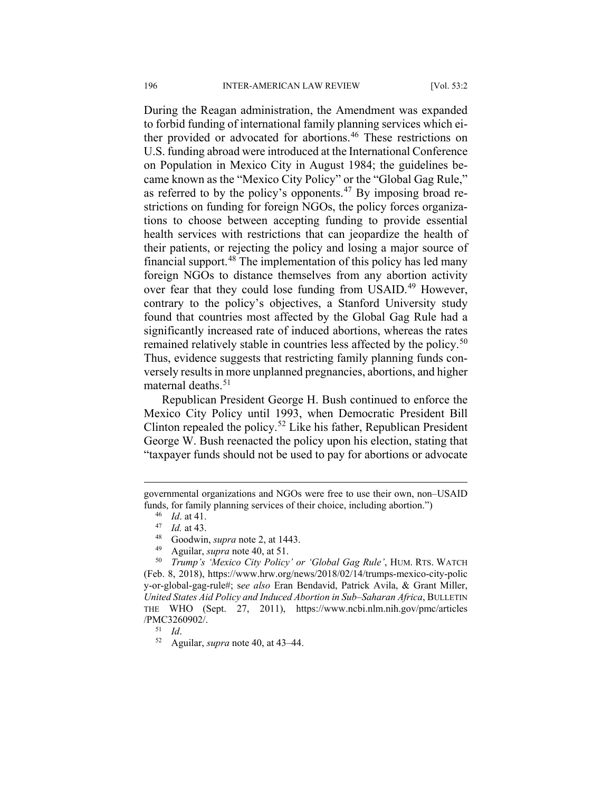During the Reagan administration, the Amendment was expanded to forbid funding of international family planning services which ei-ther provided or advocated for abortions.<sup>[46](#page-10-0)</sup> These restrictions on U.S. funding abroad were introduced at the International Conference on Population in Mexico City in August 1984; the guidelines became known as the "Mexico City Policy" or the "Global Gag Rule," as referred to by the policy's opponents.<sup>[47](#page-10-1)</sup> By imposing broad restrictions on funding for foreign NGOs, the policy forces organizations to choose between accepting funding to provide essential health services with restrictions that can jeopardize the health of their patients, or rejecting the policy and losing a major source of financial support.<sup>[48](#page-10-2)</sup> The implementation of this policy has led many foreign NGOs to distance themselves from any abortion activity over fear that they could lose funding from USAID.<sup>[49](#page-10-3)</sup> However, contrary to the policy's objectives, a Stanford University study found that countries most affected by the Global Gag Rule had a significantly increased rate of induced abortions, whereas the rates remained relatively stable in countries less affected by the policy.<sup>[50](#page-10-4)</sup> Thus, evidence suggests that restricting family planning funds conversely results in more unplanned pregnancies, abortions, and higher maternal deaths. $51$ 

Republican President George H. Bush continued to enforce the Mexico City Policy until 1993, when Democratic President Bill Clinton repealed the policy.<sup>[52](#page-10-6)</sup> Like his father, Republican President George W. Bush reenacted the policy upon his election, stating that "taxpayer funds should not be used to pay for abortions or advocate

<span id="page-10-0"></span>governmental organizations and NGOs were free to use their own, non–USAID funds, for family planning services of their choice, including abortion.")

<sup>46</sup> *Id*. at 41.

 $\frac{47}{48}$  *Id.* at 43.

 $^{48}$  Goodwin, *supra* note 2, at 1443.

<sup>49</sup> Aguilar, *supra* note 40, at 51.

<span id="page-10-4"></span><span id="page-10-3"></span><span id="page-10-2"></span><span id="page-10-1"></span><sup>50</sup> *Trump's 'Mexico City Policy' or 'Global Gag Rule'*, HUM. RTS. WATCH (Feb. 8, 2018), https://www.hrw.org/news/2018/02/14/trumps-mexico-city-polic y-or-global-gag-rule#; s*ee also* Eran Bendavid, Patrick Avila, & Grant Miller, *United States Aid Policy and Induced Abortion in Sub–Saharan Africa*, BULLETIN THE WHO (Sept. 27, 2011), https://www.ncbi.nlm.nih.gov/pmc/articles /PMC3260902/.

<span id="page-10-5"></span><sup>51</sup> *Id*.

<span id="page-10-6"></span><sup>52</sup> Aguilar, *supra* note 40, at 43–44.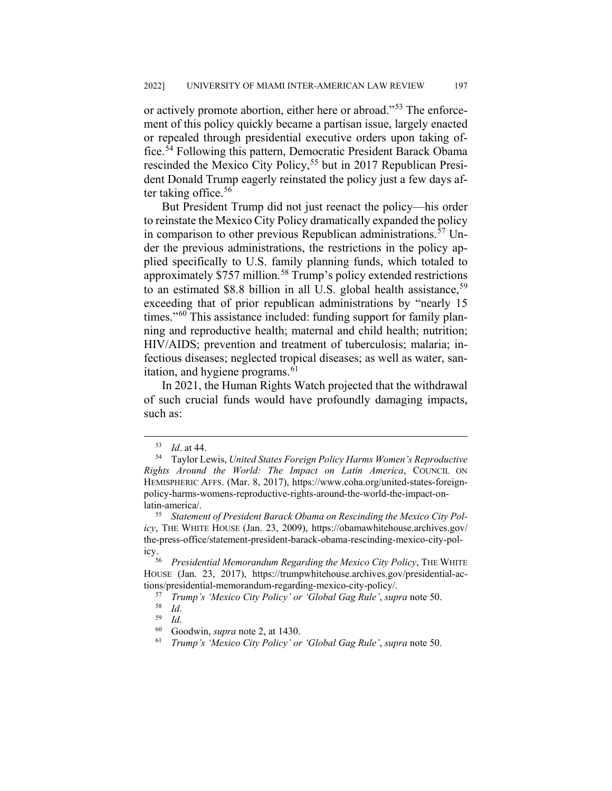or actively promote abortion, either here or abroad."[53](#page-11-0) The enforcement of this policy quickly became a partisan issue, largely enacted or repealed through presidential executive orders upon taking office.[54](#page-11-1) Following this pattern, Democratic President Barack Obama rescinded the Mexico City Policy,<sup>[55](#page-11-2)</sup> but in 2017 Republican President Donald Trump eagerly reinstated the policy just a few days af-ter taking office.<sup>[56](#page-11-3)</sup>

But President Trump did not just reenact the policy—his order to reinstate the Mexico City Policy dramatically expanded the policy in comparison to other previous Republican administrations.<sup>[57](#page-11-4)</sup> Under the previous administrations, the restrictions in the policy applied specifically to U.S. family planning funds, which totaled to approximately \$757 million.[58](#page-11-5) Trump's policy extended restrictions to an estimated  $$8.8$  billion in all U.S. global health assistance,  $^{59}$  $^{59}$  $^{59}$ exceeding that of prior republican administrations by "nearly 15 times."<sup>[60](#page-11-7)</sup> This assistance included: funding support for family planning and reproductive health; maternal and child health; nutrition; HIV/AIDS; prevention and treatment of tuberculosis; malaria; infectious diseases; neglected tropical diseases; as well as water, san-itation, and hygiene programs.<sup>[61](#page-11-8)</sup>

In 2021, the Human Rights Watch projected that the withdrawal of such crucial funds would have profoundly damaging impacts, such as:

 <sup>53</sup> *Id*. at 44.

<span id="page-11-1"></span><span id="page-11-0"></span><sup>54</sup> Taylor Lewis, *United States Foreign Policy Harms Women's Reproductive Rights Around the World: The Impact on Latin America*, COUNCIL ON HEMISPHERIC AFFS. (Mar. 8, 2017), https://www.coha.org/united-states-foreignpolicy-harms-womens-reproductive-rights-around-the-world-the-impact-onlatin-america/.

<span id="page-11-2"></span><sup>55</sup> *Statement of President Barack Obama on Rescinding the Mexico City Policy*, THE WHITE HOUSE (Jan. 23, 2009), https://obamawhitehouse.archives.gov/ the-press-office/statement-president-barack-obama-rescinding-mexico-city-pol-

<span id="page-11-5"></span><span id="page-11-4"></span><span id="page-11-3"></span>icy.56 *Presidential Memorandum Regarding the Mexico City Policy*, THE WHITE HOUSE (Jan. 23, 2017), https://trumpwhitehouse.archives.gov/presidential-actions/presidential-memorandum-regarding-mexico-city-policy/.

<sup>57</sup> *Trump's 'Mexico City Policy' or 'Global Gag Rule'*, *supra* note 50.

<sup>58</sup> *Id*.

<span id="page-11-8"></span><span id="page-11-7"></span><span id="page-11-6"></span> $\frac{59}{60}$  *Id.* 

<sup>&</sup>lt;sup>60</sup> Goodwin, *supra* note 2, at 1430.<br><sup>61</sup> Trump's *Mexico City Policy'* or

<sup>61</sup> *Trump's 'Mexico City Policy' or 'Global Gag Rule'*, *supra* note 50.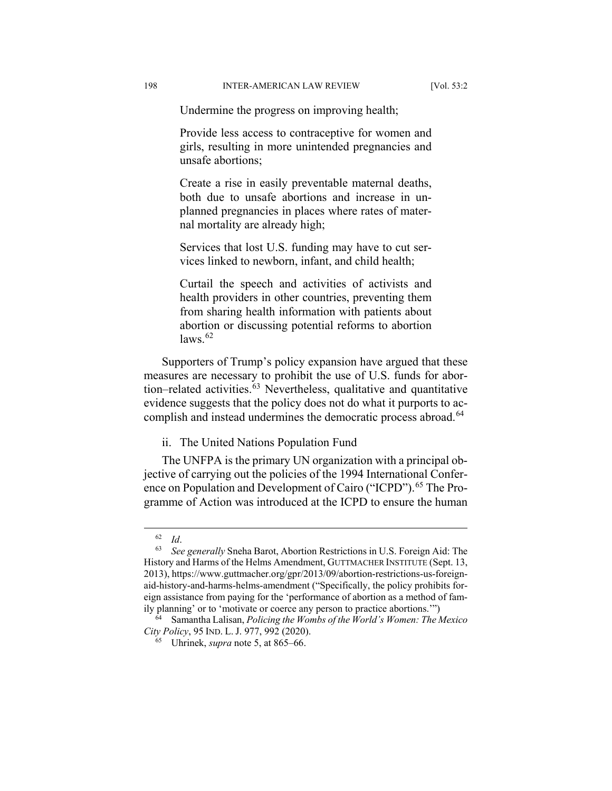Undermine the progress on improving health;

Provide less access to contraceptive for women and girls, resulting in more unintended pregnancies and unsafe abortions;

Create a rise in easily preventable maternal deaths, both due to unsafe abortions and increase in unplanned pregnancies in places where rates of maternal mortality are already high;

Services that lost U.S. funding may have to cut services linked to newborn, infant, and child health;

Curtail the speech and activities of activists and health providers in other countries, preventing them from sharing health information with patients about abortion or discussing potential reforms to abortion  $laws.<sup>62</sup>$  $laws.<sup>62</sup>$  $laws.<sup>62</sup>$ 

Supporters of Trump's policy expansion have argued that these measures are necessary to prohibit the use of U.S. funds for abortion–related activities. $63$  Nevertheless, qualitative and quantitative evidence suggests that the policy does not do what it purports to ac-complish and instead undermines the democratic process abroad.<sup>[64](#page-12-2)</sup>

ii. The United Nations Population Fund

The UNFPA is the primary UN organization with a principal objective of carrying out the policies of the 1994 International Confer-ence on Population and Development of Cairo ("ICPD").<sup>[65](#page-12-3)</sup> The Programme of Action was introduced at the ICPD to ensure the human

 <sup>62</sup> *Id*.

<span id="page-12-1"></span><span id="page-12-0"></span><sup>63</sup> *See generally* Sneha Barot, Abortion Restrictions in U.S. Foreign Aid: The History and Harms of the Helms Amendment, GUTTMACHER INSTITUTE (Sept. 13, 2013), https://www.guttmacher.org/gpr/2013/09/abortion-restrictions-us-foreignaid-history-and-harms-helms-amendment ("Specifically, the policy prohibits foreign assistance from paying for the 'performance of abortion as a method of family planning' or to 'motivate or coerce any person to practice abortions.'")

<span id="page-12-3"></span><span id="page-12-2"></span><sup>64</sup> Samantha Lalisan, *Policing the Wombs of the World's Women: The Mexico City Policy*, 95 IND. L. J. 977, 992 (2020).

<sup>65</sup> Uhrinek, *supra* note 5, at 865–66.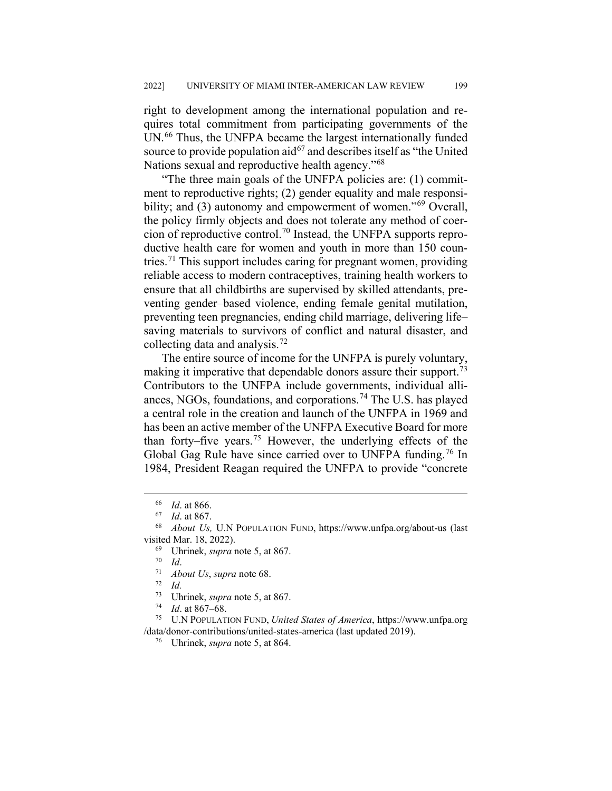right to development among the international population and requires total commitment from participating governments of the UN.<sup>[66](#page-13-0)</sup> Thus, the UNFPA became the largest internationally funded source to provide population aid  $67$  and describes itself as "the United" Nations sexual and reproductive health agency."[68](#page-13-2)

"The three main goals of the UNFPA policies are: (1) commitment to reproductive rights; (2) gender equality and male responsi-bility; and (3) autonomy and empowerment of women."<sup>[69](#page-13-3)</sup> Overall, the policy firmly objects and does not tolerate any method of coer-cion of reproductive control.<sup>[70](#page-13-4)</sup> Instead, the UNFPA supports reproductive health care for women and youth in more than 150 coun-tries.<sup>[71](#page-13-5)</sup> This support includes caring for pregnant women, providing reliable access to modern contraceptives, training health workers to ensure that all childbirths are supervised by skilled attendants, preventing gender–based violence, ending female genital mutilation, preventing teen pregnancies, ending child marriage, delivering life– saving materials to survivors of conflict and natural disaster, and collecting data and analysis.  $\frac{72}{2}$  $\frac{72}{2}$  $\frac{72}{2}$ 

The entire source of income for the UNFPA is purely voluntary, making it imperative that dependable donors assure their support.<sup>[73](#page-13-7)</sup> Contributors to the UNFPA include governments, individual alli-ances, NGOs, foundations, and corporations.<sup>[74](#page-13-8)</sup> The U.S. has played a central role in the creation and launch of the UNFPA in 1969 and has been an active member of the UNFPA Executive Board for more than forty–five years.<sup>[75](#page-13-9)</sup> However, the underlying effects of the Global Gag Rule have since carried over to UNFPA funding.<sup>[76](#page-13-10)</sup> In 1984, President Reagan required the UNFPA to provide "concrete

 $\frac{72}{73}$  *Id.* 

*Id.* at 867–68.

<span id="page-13-10"></span><span id="page-13-9"></span><span id="page-13-8"></span><span id="page-13-7"></span><span id="page-13-6"></span><span id="page-13-5"></span><sup>75</sup> U.N POPULATION FUND, *United States of America*, https://www.unfpa.org /data/donor-contributions/united-states-america (last updated 2019).

 $\frac{66}{67}$  *Id.* at 866.

 $\frac{67}{68}$  *Id.* at 867.

<span id="page-13-4"></span><span id="page-13-3"></span><span id="page-13-2"></span><span id="page-13-1"></span><span id="page-13-0"></span><sup>68</sup> *About Us,* U.N POPULATION FUND, https://www.unfpa.org/about-us (last visited Mar. 18, 2022).

<sup>69</sup> Uhrinek, *supra* note 5, at 867.

 $\frac{70}{71}$  *Id.* 

 $\frac{71}{72}$  *About Us, supra* note 68.

<sup>&</sup>lt;sup>73</sup> Uhrinek, *supra* note 5, at 867.<br><sup>74</sup> *Id.* at 867.68

<sup>76</sup> Uhrinek, *supra* note 5, at 864.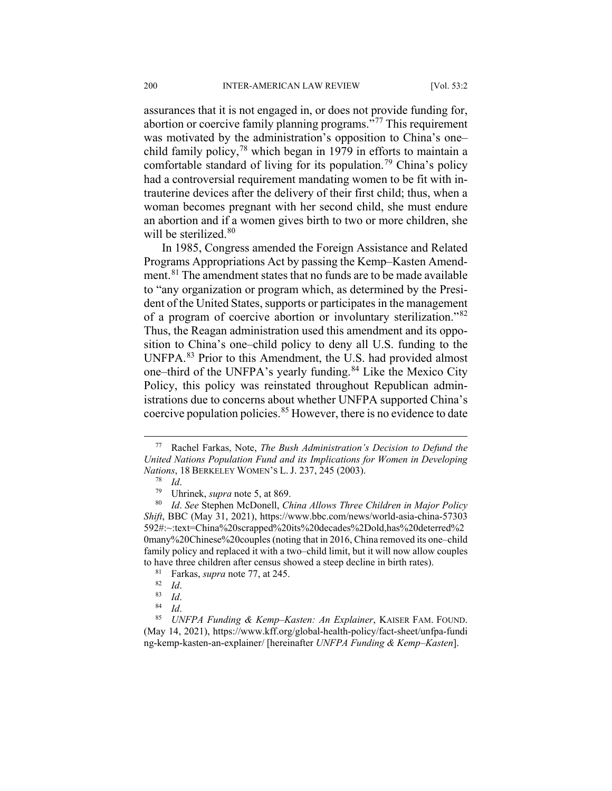assurances that it is not engaged in, or does not provide funding for, abortion or coercive family planning programs.<sup>5[77](#page-14-0)</sup> This requirement was motivated by the administration's opposition to China's one– child family policy, $^{78}$  $^{78}$  $^{78}$  which began in 1979 in efforts to maintain a comfortable standard of living for its population.<sup>[79](#page-14-2)</sup> China's policy had a controversial requirement mandating women to be fit with intrauterine devices after the delivery of their first child; thus, when a woman becomes pregnant with her second child, she must endure an abortion and if a women gives birth to two or more children, she will be sterilized.<sup>[80](#page-14-3)</sup>

In 1985, Congress amended the Foreign Assistance and Related Programs Appropriations Act by passing the Kemp–Kasten Amend-ment.<sup>[81](#page-14-4)</sup> The amendment states that no funds are to be made available to "any organization or program which, as determined by the President of the United States, supports or participates in the management of a program of coercive abortion or involuntary sterilization."[82](#page-14-5) Thus, the Reagan administration used this amendment and its opposition to China's one–child policy to deny all U.S. funding to the UNFPA.[83](#page-14-6) Prior to this Amendment, the U.S. had provided almost one–third of the UNFPA's yearly funding.<sup>[84](#page-14-7)</sup> Like the Mexico City Policy, this policy was reinstated throughout Republican administrations due to concerns about whether UNFPA supported China's coercive population policies.<sup>[85](#page-14-8)</sup> However, there is no evidence to date

<span id="page-14-0"></span> <sup>77</sup> Rachel Farkas, Note, *The Bush Administration's Decision to Defund the United Nations Population Fund and its Implications for Women in Developing Nations*, 18 BERKELEY WOMEN'S L. J. 237, 245 (2003).

 $\frac{78}{79}$  *Id.* 

<sup>79</sup> Uhrinek, *supra* note 5, at 869.

<span id="page-14-3"></span><span id="page-14-2"></span><span id="page-14-1"></span><sup>80</sup> *Id*. *See* Stephen McDonell, *China Allows Three Children in Major Policy Shift*, BBC (May 31, 2021), https://www.bbc.com/news/world-asia-china-57303 592#:~:text=China%20scrapped%20its%20decades%2Dold,has%20deterred%2 0many%20Chinese%20couples (noting that in 2016, China removed its one–child family policy and replaced it with a two–child limit, but it will now allow couples to have three children after census showed a steep decline in birth rates).

<sup>&</sup>lt;sup>81</sup> Farkas, *supra* note 77, at 245.

 $\frac{82}{83}$  *Id.* 

 $\begin{array}{c} 83 \ 84 \ 1 \end{array}$  *Id.* 

<sup>84</sup> *Id*.

<span id="page-14-8"></span><span id="page-14-7"></span><span id="page-14-6"></span><span id="page-14-5"></span><span id="page-14-4"></span><sup>85</sup> *UNFPA Funding & Kemp–Kasten: An Explainer*, KAISER FAM. FOUND. (May 14, 2021), https://www.kff.org/global-health-policy/fact-sheet/unfpa-fundi ng-kemp-kasten-an-explainer/ [hereinafter *UNFPA Funding & Kemp–Kasten*].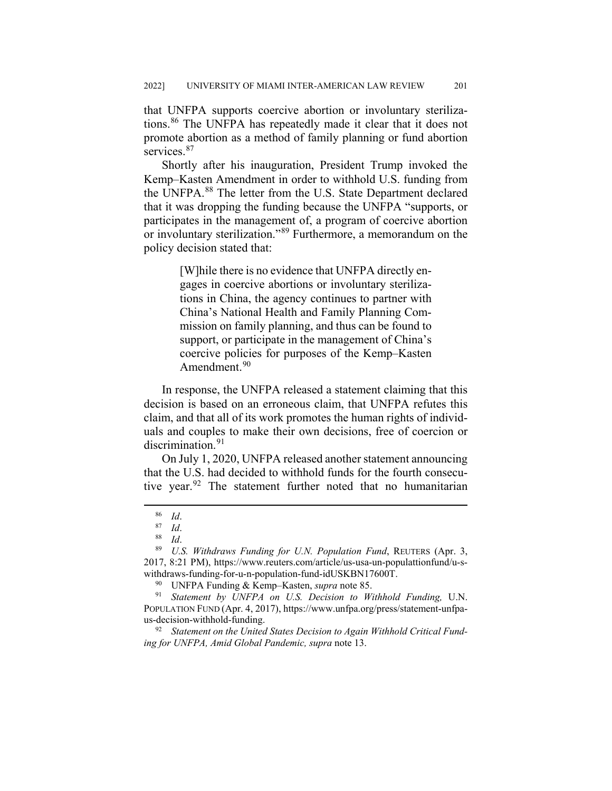that UNFPA supports coercive abortion or involuntary sterilizations.[86](#page-15-0) The UNFPA has repeatedly made it clear that it does not promote abortion as a method of family planning or fund abortion services.<sup>[87](#page-15-1)</sup>

Shortly after his inauguration, President Trump invoked the Kemp–Kasten Amendment in order to withhold U.S. funding from the UNFPA.[88](#page-15-2) The letter from the U.S. State Department declared that it was dropping the funding because the UNFPA "supports, or participates in the management of, a program of coercive abortion or involuntary sterilization."[89](#page-15-3) Furthermore, a memorandum on the policy decision stated that:

> [W]hile there is no evidence that UNFPA directly engages in coercive abortions or involuntary sterilizations in China, the agency continues to partner with China's National Health and Family Planning Commission on family planning, and thus can be found to support, or participate in the management of China's coercive policies for purposes of the Kemp–Kasten Amendment.<sup>[90](#page-15-4)</sup>

In response, the UNFPA released a statement claiming that this decision is based on an erroneous claim, that UNFPA refutes this claim, and that all of its work promotes the human rights of individuals and couples to make their own decisions, free of coercion or discrimination.<sup>[91](#page-15-5)</sup>

On July 1, 2020, UNFPA released another statement announcing that the U.S. had decided to withhold funds for the fourth consecutive year. $92$  The statement further noted that no humanitarian

<sup>90</sup> UNFPA Funding & Kemp–Kasten, *supra* note 85.

<span id="page-15-5"></span><span id="page-15-4"></span>Statement by UNFPA on U.S. Decision to Withhold Funding, U.N. POPULATION FUND (Apr. 4, 2017), https://www.unfpa.org/press/statement-unfpaus-decision-withhold-funding.

<span id="page-15-6"></span><sup>92</sup> *Statement on the United States Decision to Again Withhold Critical Funding for UNFPA, Amid Global Pandemic, supra* note 13.

 $\frac{86}{87}$  *Id.* 

 $\frac{87}{88}$  *Id.* 

<sup>88</sup> *Id*.

<span id="page-15-3"></span><span id="page-15-2"></span><span id="page-15-1"></span><span id="page-15-0"></span><sup>89</sup> *U.S. Withdraws Funding for U.N. Population Fund*, REUTERS (Apr. 3, 2017, 8:21 PM), https://www.reuters.com/article/us-usa-un-populattionfund/u-swithdraws-funding-for-u-n-population-fund-idUSKBN17600T.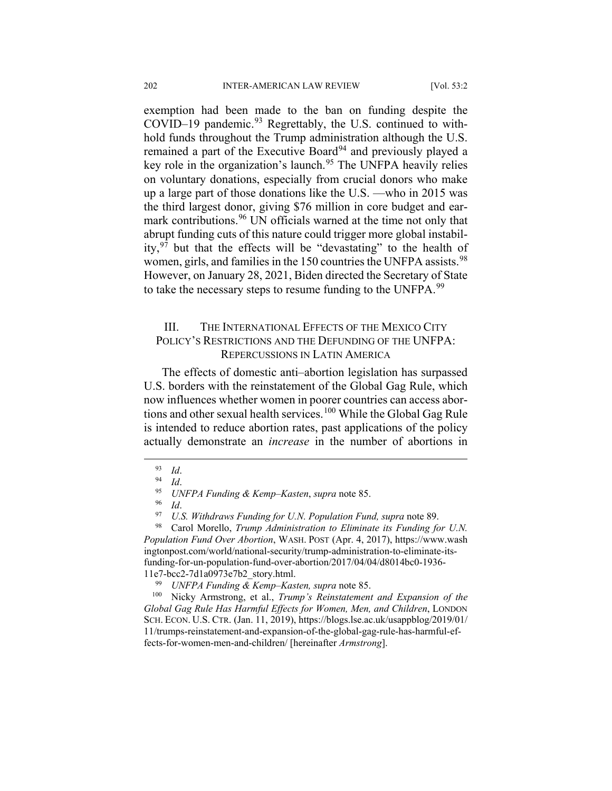exemption had been made to the ban on funding despite the COVID–19 pandemic.<sup>[93](#page-16-0)</sup> Regrettably, the U.S. continued to withhold funds throughout the Trump administration although the U.S. remained a part of the Executive Board<sup>[94](#page-16-1)</sup> and previously played a key role in the organization's launch.<sup>[95](#page-16-2)</sup> The UNFPA heavily relies on voluntary donations, especially from crucial donors who make up a large part of those donations like the U.S. ––who in 2015 was the third largest donor, giving \$76 million in core budget and ear-mark contributions.<sup>[96](#page-16-3)</sup> UN officials warned at the time not only that abrupt funding cuts of this nature could trigger more global instability,  $97$  but that the effects will be "devastating" to the health of women, girls, and families in the 150 countries the UNFPA assists.<sup>[98](#page-16-5)</sup> However, on January 28, 2021, Biden directed the Secretary of State to take the necessary steps to resume funding to the UNFPA.<sup>[99](#page-16-6)</sup>

## III. THE INTERNATIONAL EFFECTS OF THE MEXICO CITY POLICY'S RESTRICTIONS AND THE DEFUNDING OF THE UNFPA: REPERCUSSIONS IN LATIN AMERICA

The effects of domestic anti–abortion legislation has surpassed U.S. borders with the reinstatement of the Global Gag Rule, which now influences whether women in poorer countries can access abor-tions and other sexual health services.<sup>[100](#page-16-7)</sup> While the Global Gag Rule is intended to reduce abortion rates, past applications of the policy actually demonstrate an *increase* in the number of abortions in

 $\frac{93}{94}$  *Id.* 

<span id="page-16-0"></span> $\frac{94}{95}$  *Id.* 

<sup>95</sup> *UNFPA Funding & Kemp–Kasten*, *supra* note 85.

<sup>96</sup> *Id*.

<sup>&</sup>lt;sup>97</sup> *U.S. Withdraws Funding for U.N. Population Fund, supra* note 89.<br><sup>98</sup> Carol Morello *Trump Administration to Eliminate its Funding for* 

<span id="page-16-5"></span><span id="page-16-4"></span><span id="page-16-3"></span><span id="page-16-2"></span><span id="page-16-1"></span>Carol Morello, *Trump Administration to Eliminate its Funding for U.N. Population Fund Over Abortion*, WASH. POST (Apr. 4, 2017), https://www.wash ingtonpost.com/world/national-security/trump-administration-to-eliminate-itsfunding-for-un-population-fund-over-abortion/2017/04/04/d8014bc0-1936- 11e7-bcc2-7d1a0973e7b2\_story.html.

<span id="page-16-7"></span><span id="page-16-6"></span><sup>99</sup> *UNFPA Funding & Kemp–Kasten, supra* note 85. Nicky Armstrong, et al., *Trump's Reinstatement and Expansion of the Global Gag Rule Has Harmful Effects for Women, Men, and Children*, LONDON SCH. ECON. U.S. CTR. (Jan. 11, 2019), https://blogs.lse.ac.uk/usappblog/2019/01/ 11/trumps-reinstatement-and-expansion-of-the-global-gag-rule-has-harmful-effects-for-women-men-and-children/ [hereinafter *Armstrong*].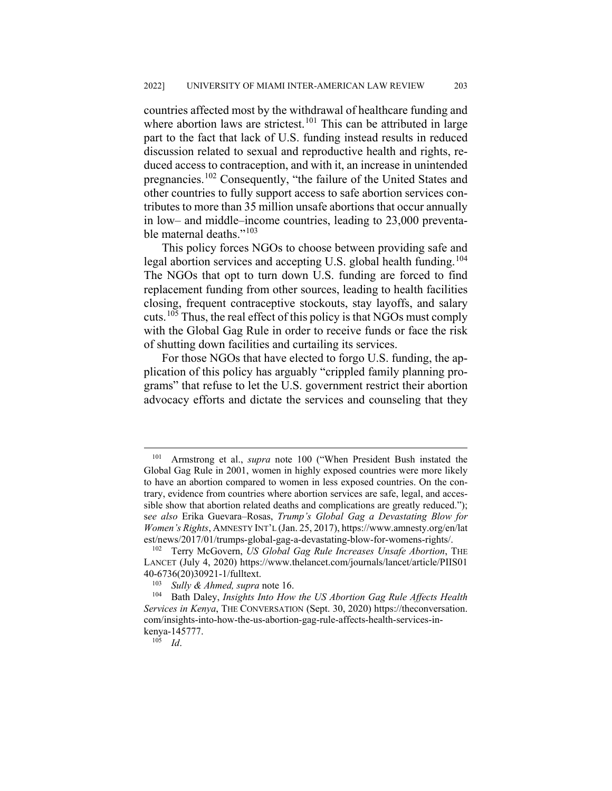countries affected most by the withdrawal of healthcare funding and where abortion laws are strictest.<sup>[101](#page-17-0)</sup> This can be attributed in large part to the fact that lack of U.S. funding instead results in reduced discussion related to sexual and reproductive health and rights, reduced access to contraception, and with it, an increase in unintended pregnancies.[102](#page-17-1) Consequently, "the failure of the United States and other countries to fully support access to safe abortion services contributes to more than 35 million unsafe abortions that occur annually in low– and middle–income countries, leading to 23,000 preventa-ble maternal deaths."<sup>[103](#page-17-2)</sup>

This policy forces NGOs to choose between providing safe and legal abortion services and accepting U.S. global health funding.<sup>[104](#page-17-3)</sup> The NGOs that opt to turn down U.S. funding are forced to find replacement funding from other sources, leading to health facilities closing, frequent contraceptive stockouts, stay layoffs, and salary cuts.<sup>[105](#page-17-4)</sup> Thus, the real effect of this policy is that NGOs must comply with the Global Gag Rule in order to receive funds or face the risk of shutting down facilities and curtailing its services.

For those NGOs that have elected to forgo U.S. funding, the application of this policy has arguably "crippled family planning programs" that refuse to let the U.S. government restrict their abortion advocacy efforts and dictate the services and counseling that they

<span id="page-17-0"></span> <sup>101</sup> Armstrong et al., *supra* note 100 ("When President Bush instated the Global Gag Rule in 2001, women in highly exposed countries were more likely to have an abortion compared to women in less exposed countries. On the contrary, evidence from countries where abortion services are safe, legal, and accessible show that abortion related deaths and complications are greatly reduced."); s*ee also* Erika Guevara–Rosas, *Trump's Global Gag a Devastating Blow for Women's Rights*, AMNESTY INT'L (Jan. 25, 2017), https://www.amnesty.org/en/lat est/news/2017/01/trumps-global-gag-a-devastating-blow-for-womens-rights/.

<span id="page-17-1"></span><sup>102</sup> Terry McGovern, *US Global Gag Rule Increases Unsafe Abortion*, THE LANCET (July 4, 2020) https://www.thelancet.com/journals/lancet/article/PIIS01  $40-6736(20)30921-1/fulltext.$ 

<sup>&</sup>lt;sup>103</sup> *Sully & Ahmed, supra* note 16.<br><sup>104</sup> Bath Daley *Insights Into How* 

<span id="page-17-4"></span><span id="page-17-3"></span><span id="page-17-2"></span><sup>104</sup> Bath Daley, *Insights Into How the US Abortion Gag Rule Affects Health Services in Kenya*, THE CONVERSATION (Sept. 30, 2020) https://theconversation. com/insights-into-how-the-us-abortion-gag-rule-affects-health-services-inkenya-145777.

<sup>105</sup> *Id*.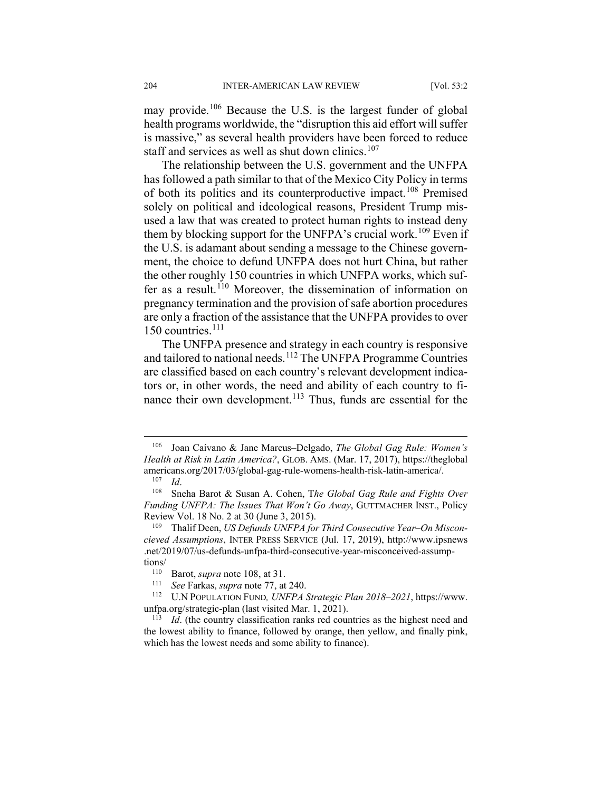may provide.<sup>[106](#page-18-0)</sup> Because the U.S. is the largest funder of global health programs worldwide, the "disruption this aid effort will suffer is massive," as several health providers have been forced to reduce staff and services as well as shut down clinics.<sup>[107](#page-18-1)</sup>

The relationship between the U.S. government and the UNFPA has followed a path similar to that of the Mexico City Policy in terms of both its politics and its counterproductive impact.[108](#page-18-2) Premised solely on political and ideological reasons, President Trump misused a law that was created to protect human rights to instead deny them by blocking support for the UNFPA's crucial work.<sup>[109](#page-18-3)</sup> Even if the U.S. is adamant about sending a message to the Chinese government, the choice to defund UNFPA does not hurt China, but rather the other roughly 150 countries in which UNFPA works, which suf-fer as a result.<sup>[110](#page-18-4)</sup> Moreover, the dissemination of information on pregnancy termination and the provision of safe abortion procedures are only a fraction of the assistance that the UNFPA provides to over 150 countries. $111$ 

The UNFPA presence and strategy in each country is responsive and tailored to national needs.<sup>[112](#page-18-6)</sup> The UNFPA Programme Countries are classified based on each country's relevant development indicators or, in other words, the need and ability of each country to fi-nance their own development.<sup>[113](#page-18-7)</sup> Thus, funds are essential for the

<span id="page-18-0"></span> <sup>106</sup> Joan Caívano & Jane Marcus–Delgado, *The Global Gag Rule: Women's Health at Risk in Latin America?*, GLOB. AMS. (Mar. 17, 2017), https://theglobal americans.org/2017/03/global-gag-rule-womens-health-risk-latin-america/.

 $\frac{107}{108}$  *Id.* 

<span id="page-18-2"></span><span id="page-18-1"></span><sup>108</sup> Sneha Barot & Susan A. Cohen, T*he Global Gag Rule and Fights Over Funding UNFPA: The Issues That Won't Go Away*, GUTTMACHER INST., Policy Review Vol. 18 No. 2 at 30 (June 3, 2015).

<span id="page-18-3"></span><sup>109</sup> Thalif Deen, *US Defunds UNFPA for Third Consecutive Year–On Misconcieved Assumptions*, INTER PRESS SERVICE (Jul. 17, 2019), http://www.ipsnews .net/2019/07/us-defunds-unfpa-third-consecutive-year-misconceived-assump $tions/$ <br> $110$ 

<sup>&</sup>lt;sup>110</sup> Barot, *supra* note 108, at 31.<br><sup>111</sup> See Farkas, *supra* note 77 at

See Farkas, *supra* note 77, at 240.

<span id="page-18-6"></span><span id="page-18-5"></span><span id="page-18-4"></span><sup>112</sup> U.N POPULATION FUND*, UNFPA Strategic Plan 2018–2021*, https://www. unfpa.org/strategic-plan (last visited Mar. 1, 2021).

<span id="page-18-7"></span><sup>113</sup> *Id*. (the country classification ranks red countries as the highest need and the lowest ability to finance, followed by orange, then yellow, and finally pink, which has the lowest needs and some ability to finance).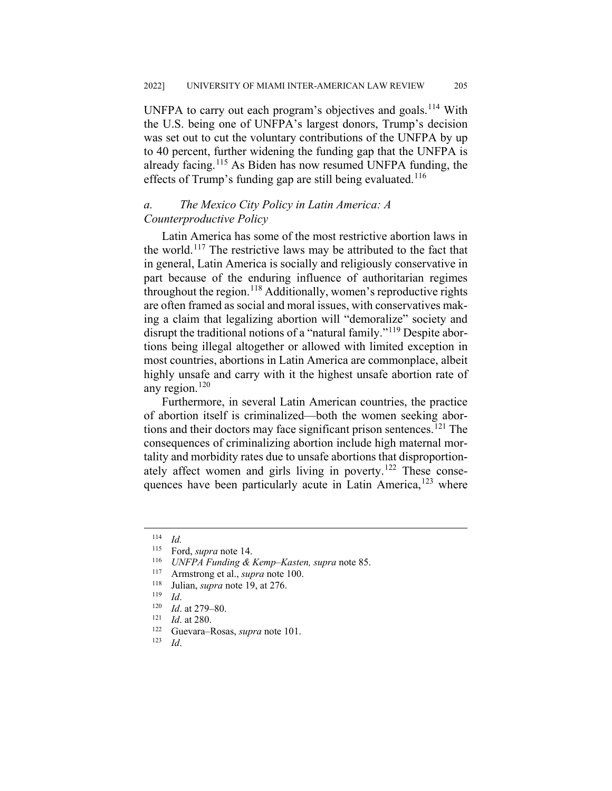UNFPA to carry out each program's objectives and goals.<sup>[114](#page-19-0)</sup> With the U.S. being one of UNFPA's largest donors, Trump's decision was set out to cut the voluntary contributions of the UNFPA by up to 40 percent, further widening the funding gap that the UNFPA is already facing.<sup>[115](#page-19-1)</sup> As Biden has now resumed UNFPA funding, the effects of Trump's funding gap are still being evaluated.<sup>[116](#page-19-2)</sup>

## *a. The Mexico City Policy in Latin America: A Counterproductive Policy*

Latin America has some of the most restrictive abortion laws in the world.<sup>[117](#page-19-3)</sup> The restrictive laws may be attributed to the fact that in general, Latin America is socially and religiously conservative in part because of the enduring influence of authoritarian regimes throughout the region.<sup>[118](#page-19-4)</sup> Additionally, women's reproductive rights are often framed as social and moral issues, with conservatives making a claim that legalizing abortion will "demoralize" society and disrupt the traditional notions of a "natural family."<sup>[119](#page-19-5)</sup> Despite abortions being illegal altogether or allowed with limited exception in most countries, abortions in Latin America are commonplace, albeit highly unsafe and carry with it the highest unsafe abortion rate of any region. $120$ 

Furthermore, in several Latin American countries, the practice of abortion itself is criminalized—both the women seeking abor-tions and their doctors may face significant prison sentences.<sup>[121](#page-19-7)</sup> The consequences of criminalizing abortion include high maternal mortality and morbidity rates due to unsafe abortions that disproportion-ately affect women and girls living in poverty.<sup>[122](#page-19-8)</sup> These consequences have been particularly acute in Latin America, $123$  where

<span id="page-19-0"></span> $\frac{114}{115}$  *Id.* 

<span id="page-19-1"></span><sup>&</sup>lt;sup>115</sup> Ford, *supra* note 14.<br><sup>116</sup> *HNEPA* Funding &

<span id="page-19-2"></span><sup>116</sup> *UNFPA Funding & Kemp–Kasten, supra* note 85.

<span id="page-19-3"></span><sup>&</sup>lt;sup>117</sup> Armstrong et al., *supra* note 100.<br><sup>118</sup> Iulian *supra* note 10 at 276

<span id="page-19-4"></span><sup>&</sup>lt;sup>118</sup> Julian, *supra* note 19, at 276.

<span id="page-19-5"></span> $\frac{119}{120}$  *Id.* 

<span id="page-19-6"></span> $\frac{120}{121}$  *Id.* at 279–80.

<span id="page-19-7"></span> $\frac{121}{122}$  *Id.* at 280.

<span id="page-19-9"></span><span id="page-19-8"></span><sup>122</sup> Guevara–Rosas, *supra* note 101.

*Id.*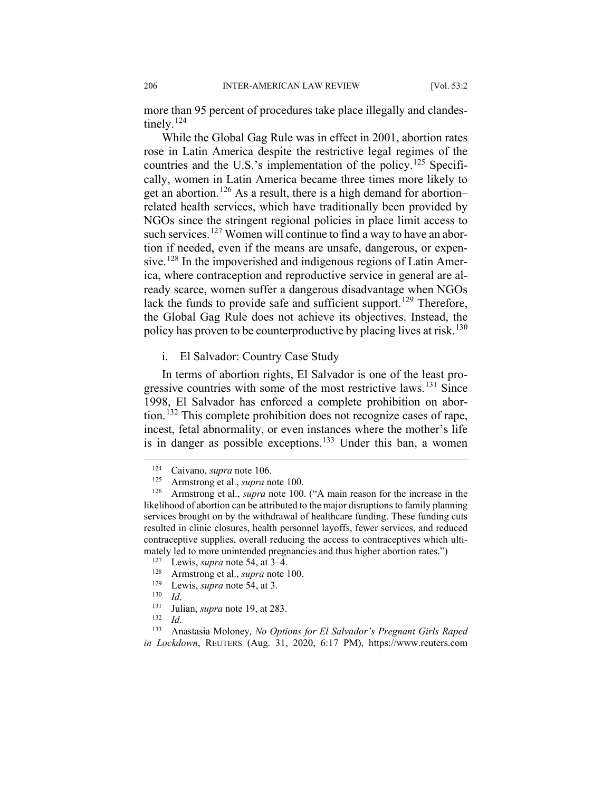more than 95 percent of procedures take place illegally and clandes-tinely.<sup>[124](#page-20-0)</sup>

While the Global Gag Rule was in effect in 2001, abortion rates rose in Latin America despite the restrictive legal regimes of the countries and the U.S.'s implementation of the policy.<sup>[125](#page-20-1)</sup> Specifically, women in Latin America became three times more likely to get an abortion.<sup>[126](#page-20-2)</sup> As a result, there is a high demand for abortion– related health services, which have traditionally been provided by NGOs since the stringent regional policies in place limit access to such services.<sup>[127](#page-20-3)</sup> Women will continue to find a way to have an abortion if needed, even if the means are unsafe, dangerous, or expen-sive.<sup>[128](#page-20-4)</sup> In the impoverished and indigenous regions of Latin America, where contraception and reproductive service in general are already scarce, women suffer a dangerous disadvantage when NGOs lack the funds to provide safe and sufficient support.<sup>[129](#page-20-5)</sup> Therefore, the Global Gag Rule does not achieve its objectives. Instead, the policy has proven to be counterproductive by placing lives at risk.<sup>[130](#page-20-6)</sup>

i. El Salvador: Country Case Study

In terms of abortion rights, El Salvador is one of the least pro-gressive countries with some of the most restrictive laws.<sup>[131](#page-20-7)</sup> Since 1998, El Salvador has enforced a complete prohibition on abortion.[132](#page-20-8) This complete prohibition does not recognize cases of rape, incest, fetal abnormality, or even instances where the mother's life is in danger as possible exceptions.<sup>[133](#page-20-9)</sup> Under this ban, a women

 $\frac{130}{131}$  *Id.* 

<sup>&</sup>lt;sup>124</sup> Caívano, *supra* note 106.<br><sup>125</sup> Armstrong et al. *supra* no

<sup>&</sup>lt;sup>125</sup> Armstrong et al., *supra* note 100.<br><sup>126</sup> Armstrong et al. *supra* note 100

<span id="page-20-2"></span><span id="page-20-1"></span><span id="page-20-0"></span>Armstrong et al., *supra* note 100. ("A main reason for the increase in the likelihood of abortion can be attributed to the major disruptions to family planning services brought on by the withdrawal of healthcare funding. These funding cuts resulted in clinic closures, health personnel layoffs, fewer services, and reduced contraceptive supplies, overall reducing the access to contraceptives which ultimately led to more unintended pregnancies and thus higher abortion rates.")

<span id="page-20-3"></span><sup>&</sup>lt;sup>127</sup> Lewis, *supra* note 54, at 3–4.

<span id="page-20-4"></span><sup>&</sup>lt;sup>128</sup> Armstrong et al., *supra* note 100.

<sup>&</sup>lt;sup>129</sup> Lewis, *supra* note 54, at 3.<br><sup>130</sup> *Id* 

<sup>&</sup>lt;sup>131</sup> Julian, *supra* note 19, at 283.

 $\frac{132}{133}$  *Id.* 

<span id="page-20-9"></span><span id="page-20-8"></span><span id="page-20-7"></span><span id="page-20-6"></span><span id="page-20-5"></span><sup>133</sup> Anastasia Moloney, *No Options for El Salvador's Pregnant Girls Raped in Lockdown*, REUTERS (Aug. 31, 2020, 6:17 PM), https://www.reuters.com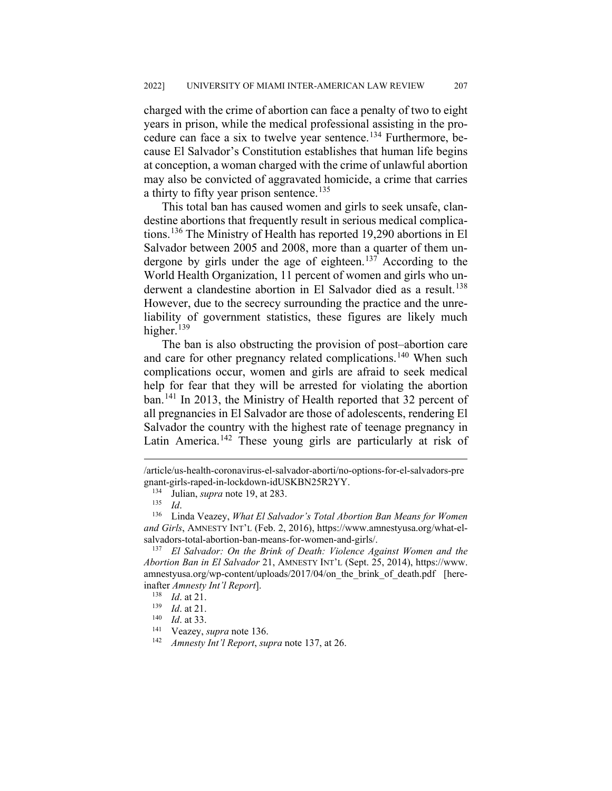charged with the crime of abortion can face a penalty of two to eight years in prison, while the medical professional assisting in the pro-cedure can face a six to twelve year sentence.<sup>[134](#page-21-0)</sup> Furthermore, because El Salvador's Constitution establishes that human life begins at conception, a woman charged with the crime of unlawful abortion may also be convicted of aggravated homicide, a crime that carries a thirty to fifty year prison sentence.<sup>[135](#page-21-1)</sup>

This total ban has caused women and girls to seek unsafe, clandestine abortions that frequently result in serious medical complications.[136](#page-21-2) The Ministry of Health has reported 19,290 abortions in El Salvador between 2005 and 2008, more than a quarter of them un-dergone by girls under the age of eighteen.<sup>[137](#page-21-3)</sup> According to the World Health Organization, 11 percent of women and girls who un-derwent a clandestine abortion in El Salvador died as a result.<sup>[138](#page-21-4)</sup> However, due to the secrecy surrounding the practice and the unreliability of government statistics, these figures are likely much higher. $139$ 

The ban is also obstructing the provision of post–abortion care and care for other pregnancy related complications.<sup>[140](#page-21-6)</sup> When such complications occur, women and girls are afraid to seek medical help for fear that they will be arrested for violating the abortion ban.<sup>[141](#page-21-7)</sup> In 2013, the Ministry of Health reported that 32 percent of all pregnancies in El Salvador are those of adolescents, rendering El Salvador the country with the highest rate of teenage pregnancy in Latin America.<sup>[142](#page-21-8)</sup> These young girls are particularly at risk of

<span id="page-21-0"></span> <sup>/</sup>article/us-health-coronavirus-el-salvador-aborti/no-options-for-el-salvadors-pre gnant-girls-raped-in-lockdown-idUSKBN25R2YY.<br><sup>134</sup> Julian *supra* pote 19, at 283

<sup>&</sup>lt;sup>134</sup> Julian, *supra* note 19, at 283.

 $\frac{135}{136}$  *Id.* 

<span id="page-21-2"></span><span id="page-21-1"></span>Linda Veazey, *What El Salvador's Total Abortion Ban Means for Women and Girls*, AMNESTY INT'L (Feb. 2, 2016), https://www.amnestyusa.org/what-elsalvadors-total-abortion-ban-means-for-women-and-girls/.

<span id="page-21-4"></span><span id="page-21-3"></span><sup>137</sup> *El Salvador: On the Brink of Death: Violence Against Women and the Abortion Ban in El Salvador* 21, AMNESTY INT'L (Sept. 25, 2014), https://www. amnestyusa.org/wp-content/uploads/2017/04/on the brink of death.pdf [hereinafter *Amnesty Int'l Report*].

 $\frac{138}{139}$  *Id.* at 21.

<span id="page-21-5"></span> $\frac{139}{140}$  *Id.* at 21.

<span id="page-21-7"></span><span id="page-21-6"></span> $\frac{140}{141}$  *Id.* at 33.

<span id="page-21-8"></span><sup>&</sup>lt;sup>141</sup> Veazey, *supra* note 136.<br><sup>142</sup> Amnesty Int'l Report su

<sup>142</sup> *Amnesty Int'l Report*, *supra* note 137, at 26.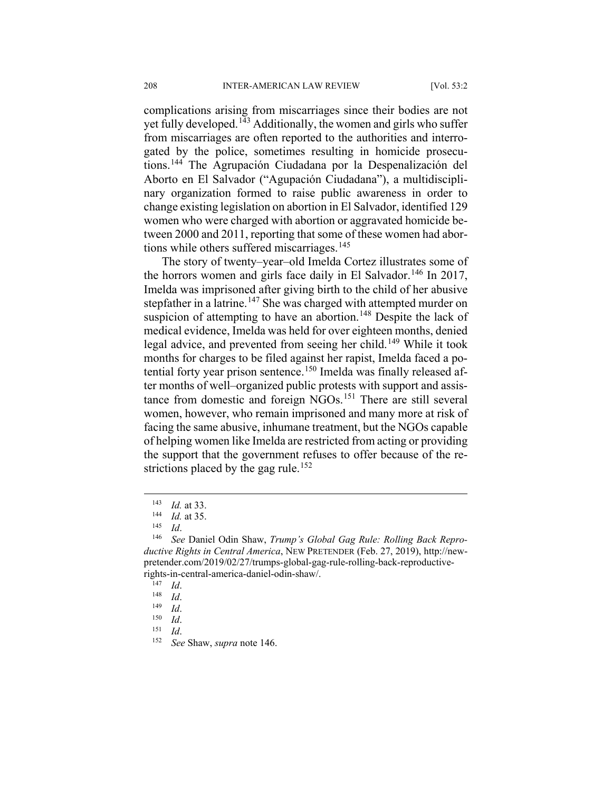complications arising from miscarriages since their bodies are not yet fully developed.<sup>[143](#page-22-0)</sup> Additionally, the women and girls who suffer from miscarriages are often reported to the authorities and interrogated by the police, sometimes resulting in homicide prosecutions.[144](#page-22-1) The Agrupación Ciudadana por la Despenalización del Aborto en El Salvador ("Agupación Ciudadana"), a multidisciplinary organization formed to raise public awareness in order to change existing legislation on abortion in El Salvador, identified 129 women who were charged with abortion or aggravated homicide between 2000 and 2011, reporting that some of these women had abor-tions while others suffered miscarriages.<sup>[145](#page-22-2)</sup>

The story of twenty–year–old Imelda Cortez illustrates some of the horrors women and girls face daily in El Salvador.<sup>[146](#page-22-3)</sup> In 2017, Imelda was imprisoned after giving birth to the child of her abusive stepfather in a latrine.<sup>[147](#page-22-4)</sup> She was charged with attempted murder on suspicion of attempting to have an abortion.<sup>[148](#page-22-5)</sup> Despite the lack of medical evidence, Imelda was held for over eighteen months, denied legal advice, and prevented from seeing her child.<sup>[149](#page-22-6)</sup> While it took months for charges to be filed against her rapist, Imelda faced a po-tential forty year prison sentence.<sup>[150](#page-22-7)</sup> Imelda was finally released after months of well–organized public protests with support and assis-tance from domestic and foreign NGOs.<sup>[151](#page-22-8)</sup> There are still several women, however, who remain imprisoned and many more at risk of facing the same abusive, inhumane treatment, but the NGOs capable of helping women like Imelda are restricted from acting or providing the support that the government refuses to offer because of the re-strictions placed by the gag rule.<sup>[152](#page-22-9)</sup>

 $\frac{143}{144}$  *Id.* at 33.

 $\frac{144}{145}$  *Id.* at 35.

 $\frac{145}{146}$  *Id.* 

<span id="page-22-4"></span><span id="page-22-3"></span><span id="page-22-2"></span><span id="page-22-1"></span><span id="page-22-0"></span>See Daniel Odin Shaw, *Trump's Global Gag Rule: Rolling Back Reproductive Rights in Central America*, NEW PRETENDER (Feb. 27, 2019), http://newpretender.com/2019/02/27/trumps-global-gag-rule-rolling-back-reproductiverights-in-central-america-daniel-odin-shaw/.

 $\frac{147}{148}$  *Id.* 

<span id="page-22-5"></span> $\frac{148}{149}$  *Id.* 

<span id="page-22-6"></span> $\frac{149}{150}$  *Id.* 

<span id="page-22-8"></span><span id="page-22-7"></span> $\frac{150}{151}$  *Id.* 

<span id="page-22-9"></span> $\frac{151}{152}$  *Id.* 

<sup>152</sup> *See* Shaw, *supra* note 146.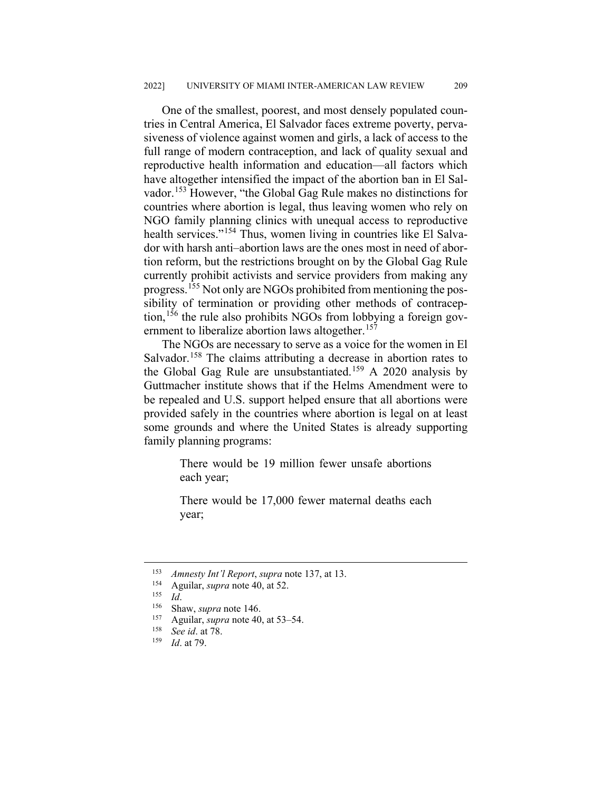One of the smallest, poorest, and most densely populated countries in Central America, El Salvador faces extreme poverty, pervasiveness of violence against women and girls, a lack of access to the full range of modern contraception, and lack of quality sexual and reproductive health information and education—all factors which have altogether intensified the impact of the abortion ban in El Salvador.[153](#page-23-0) However, "the Global Gag Rule makes no distinctions for countries where abortion is legal, thus leaving women who rely on NGO family planning clinics with unequal access to reproductive health services."<sup>[154](#page-23-1)</sup> Thus, women living in countries like El Salvador with harsh anti–abortion laws are the ones most in need of abortion reform, but the restrictions brought on by the Global Gag Rule currently prohibit activists and service providers from making any progress.[155](#page-23-2) Not only are NGOs prohibited from mentioning the possibility of termination or providing other methods of contracep-tion,<sup>[156](#page-23-3)</sup> the rule also prohibits NGOs from lobbying a foreign gov-ernment to liberalize abortion laws altogether.<sup>[157](#page-23-4)</sup>

The NGOs are necessary to serve as a voice for the women in El Salvador.<sup>[158](#page-23-5)</sup> The claims attributing a decrease in abortion rates to the Global Gag Rule are unsubstantiated.[159](#page-23-6) A 2020 analysis by Guttmacher institute shows that if the Helms Amendment were to be repealed and U.S. support helped ensure that all abortions were provided safely in the countries where abortion is legal on at least some grounds and where the United States is already supporting family planning programs:

> There would be 19 million fewer unsafe abortions each year;

> There would be 17,000 fewer maternal deaths each year;

<span id="page-23-0"></span> <sup>153</sup> *Amnesty Int'l Report*, *supra* note 137, at 13.

<span id="page-23-2"></span><span id="page-23-1"></span><sup>&</sup>lt;sup>154</sup> Aguilar, *supra* note 40, at 52.

 $\frac{155}{156}$  *Id.* 

<span id="page-23-3"></span><sup>&</sup>lt;sup>156</sup> Shaw, *supra* note 146.

<span id="page-23-4"></span><sup>&</sup>lt;sup>157</sup> Aguilar, *supra* note 40, at 53–54.

<span id="page-23-6"></span><span id="page-23-5"></span><sup>158</sup> *See id*. at 78.

*Id.* at 79.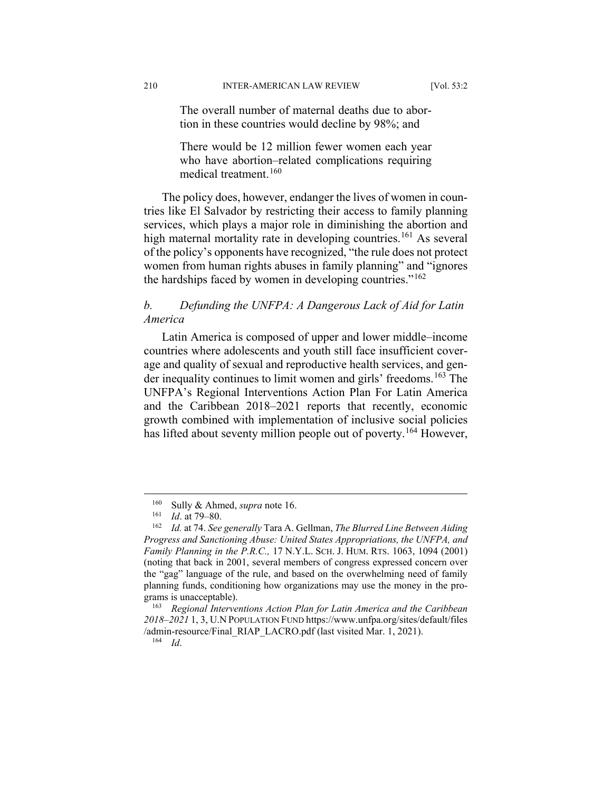The overall number of maternal deaths due to abortion in these countries would decline by 98%; and

There would be 12 million fewer women each year who have abortion–related complications requiring medical treatment.[160](#page-24-0)

The policy does, however, endanger the lives of women in countries like El Salvador by restricting their access to family planning services, which plays a major role in diminishing the abortion and high maternal mortality rate in developing countries.<sup>[161](#page-24-1)</sup> As several of the policy's opponents have recognized, "the rule does not protect women from human rights abuses in family planning" and "ignores the hardships faced by women in developing countries." $162$ 

## *b. Defunding the UNFPA: A Dangerous Lack of Aid for Latin America*

Latin America is composed of upper and lower middle–income countries where adolescents and youth still face insufficient coverage and quality of sexual and reproductive health services, and gen-der inequality continues to limit women and girls' freedoms.<sup>[163](#page-24-3)</sup> The UNFPA's Regional Interventions Action Plan For Latin America and the Caribbean 2018–2021 reports that recently, economic growth combined with implementation of inclusive social policies has lifted about seventy million people out of poverty.<sup>[164](#page-24-4)</sup> However,

<sup>&</sup>lt;sup>160</sup> Sully & Ahmed, *supra* note 16.<br><sup>161</sup> *Id* at 79–80

 $\frac{161}{162}$  *Id.* at 79–80.

<span id="page-24-2"></span><span id="page-24-1"></span><span id="page-24-0"></span><sup>162</sup> *Id.* at 74. *See generally* Tara A. Gellman, *The Blurred Line Between Aiding Progress and Sanctioning Abuse: United States Appropriations, the UNFPA, and Family Planning in the P.R.C.,* 17 N.Y.L. SCH. J. HUM. RTS. 1063, 1094 (2001) (noting that back in 2001, several members of congress expressed concern over the "gag" language of the rule, and based on the overwhelming need of family planning funds, conditioning how organizations may use the money in the programs is unacceptable).

<span id="page-24-4"></span><span id="page-24-3"></span><sup>163</sup> *Regional Interventions Action Plan for Latin America and the Caribbean 2018–2021* 1, 3, U.N POPULATION FUND https://www.unfpa.org/sites/default/files /admin-resource/Final\_RIAP\_LACRO.pdf (last visited Mar. 1, 2021).

<sup>164</sup> *Id*.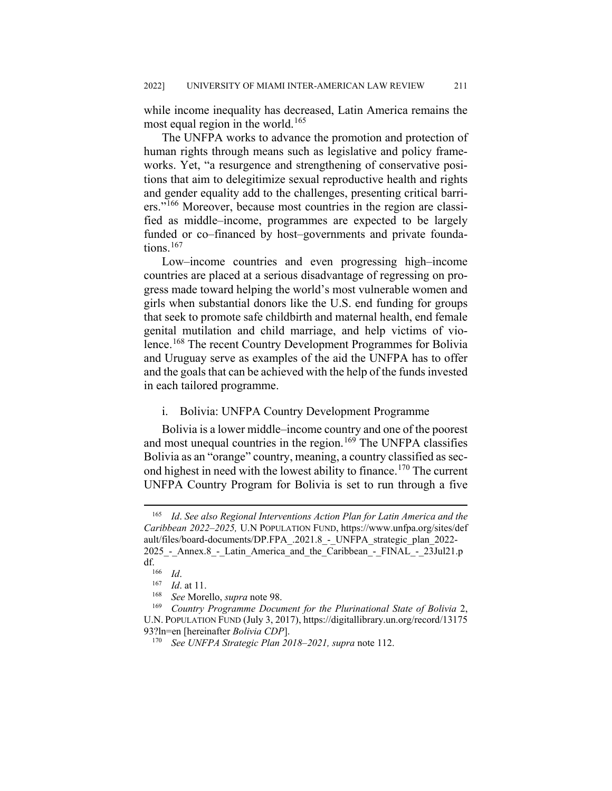while income inequality has decreased, Latin America remains the most equal region in the world.<sup>[165](#page-25-0)</sup>

The UNFPA works to advance the promotion and protection of human rights through means such as legislative and policy frameworks. Yet, "a resurgence and strengthening of conservative positions that aim to delegitimize sexual reproductive health and rights and gender equality add to the challenges, presenting critical barri-ers."<sup>[166](#page-25-1)</sup> Moreover, because most countries in the region are classified as middle–income, programmes are expected to be largely funded or co–financed by host–governments and private founda-tions.<sup>[167](#page-25-2)</sup>

Low–income countries and even progressing high–income countries are placed at a serious disadvantage of regressing on progress made toward helping the world's most vulnerable women and girls when substantial donors like the U.S. end funding for groups that seek to promote safe childbirth and maternal health, end female genital mutilation and child marriage, and help victims of violence.[168](#page-25-3) The recent Country Development Programmes for Bolivia and Uruguay serve as examples of the aid the UNFPA has to offer and the goals that can be achieved with the help of the funds invested in each tailored programme.

#### i. Bolivia: UNFPA Country Development Programme

Bolivia is a lower middle–income country and one of the poorest and most unequal countries in the region.<sup>[169](#page-25-4)</sup> The UNFPA classifies Bolivia as an "orange" country, meaning, a country classified as sec-ond highest in need with the lowest ability to finance.<sup>[170](#page-25-5)</sup> The current UNFPA Country Program for Bolivia is set to run through a five

<span id="page-25-0"></span> <sup>165</sup> *Id*. *See also Regional Interventions Action Plan for Latin America and the Caribbean 2022–2025,* U.N POPULATION FUND, https://www.unfpa.org/sites/def ault/files/board-documents/DP.FPA\_.2021.8\_-\_UNFPA\_strategic\_plan\_2022- 2025 - Annex.8 - Latin America and the Caribbean - FINAL - 23Jul21.p df.

 $\frac{166}{167}$  *Id.* 

 $\frac{167}{168}$  *Id.* at 11.

<sup>168</sup> *See* Morello, *supra* note 98.

<span id="page-25-5"></span><span id="page-25-4"></span><span id="page-25-3"></span><span id="page-25-2"></span><span id="page-25-1"></span><sup>169</sup> *Country Programme Document for the Plurinational State of Bolivia* 2, U.N. POPULATION FUND (July 3, 2017), https://digitallibrary.un.org/record/13175 93?ln=en [hereinafter *Bolivia CDP*].

<sup>170</sup> *See UNFPA Strategic Plan 2018–2021, supra* note 112.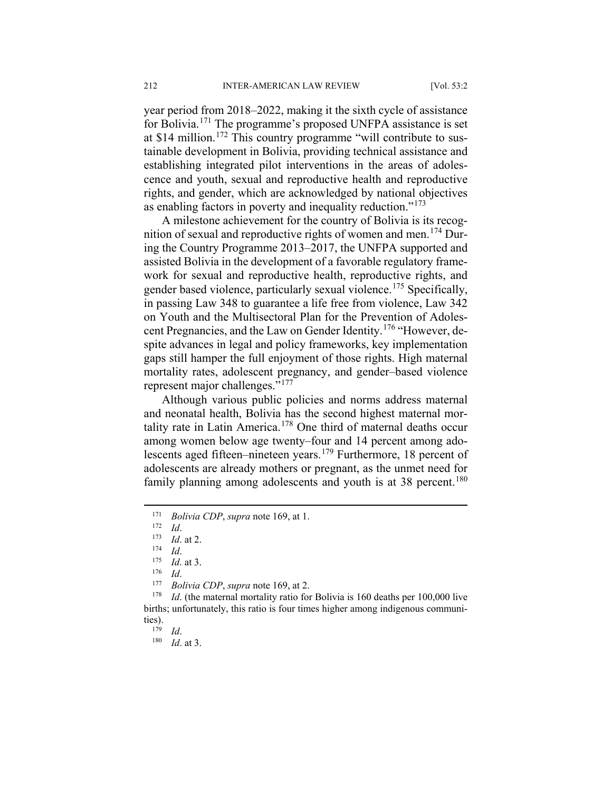year period from 2018–2022, making it the sixth cycle of assistance for Bolivia.[171](#page-26-0) The programme's proposed UNFPA assistance is set at \$14 million.<sup>[172](#page-26-1)</sup> This country programme "will contribute to sustainable development in Bolivia, providing technical assistance and establishing integrated pilot interventions in the areas of adolescence and youth, sexual and reproductive health and reproductive rights, and gender, which are acknowledged by national objectives as enabling factors in poverty and inequality reduction."<sup>[173](#page-26-2)</sup>

A milestone achievement for the country of Bolivia is its recog-nition of sexual and reproductive rights of women and men.<sup>[174](#page-26-3)</sup> During the Country Programme 2013–2017, the UNFPA supported and assisted Bolivia in the development of a favorable regulatory framework for sexual and reproductive health, reproductive rights, and gender based violence, particularly sexual violence.<sup>[175](#page-26-4)</sup> Specifically, in passing Law 348 to guarantee a life free from violence, Law 342 on Youth and the Multisectoral Plan for the Prevention of Adoles-cent Pregnancies, and the Law on Gender Identity.<sup>[176](#page-26-5)</sup> "However, despite advances in legal and policy frameworks, key implementation gaps still hamper the full enjoyment of those rights. High maternal mortality rates, adolescent pregnancy, and gender–based violence represent major challenges."<sup>[177](#page-26-6)</sup>

Although various public policies and norms address maternal and neonatal health, Bolivia has the second highest maternal mortality rate in Latin America.[178](#page-26-7) One third of maternal deaths occur among women below age twenty–four and 14 percent among ado-lescents aged fifteen–nineteen years.<sup>[179](#page-26-8)</sup> Furthermore, 18 percent of adolescents are already mothers or pregnant, as the unmet need for family planning among adolescents and youth is at  $38$  percent.<sup>[180](#page-26-9)</sup>

<span id="page-26-0"></span> <sup>171</sup> *Bolivia CDP*, *supra* note 169, at 1.

<span id="page-26-1"></span> $\frac{172}{173}$  *Id.* 

<span id="page-26-2"></span> $\frac{173}{174}$  *Id.* at 2.

 $\frac{174}{175}$  *Id.* 

 $\frac{175}{176}$  *Id.* at 3.

 $\frac{176}{177}$  *Id.* 

*Bolivia CDP*, *supra* note 169, at 2.

<span id="page-26-9"></span><span id="page-26-8"></span><span id="page-26-7"></span><span id="page-26-6"></span><span id="page-26-5"></span><span id="page-26-4"></span><span id="page-26-3"></span><sup>&</sup>lt;sup>178</sup> *Id.* (the maternal mortality ratio for Bolivia is 160 deaths per 100,000 live births; unfortunately, this ratio is four times higher among indigenous communities).<br> $\frac{179}{179}$ 

<sup>179</sup> *Id*.

<sup>180</sup> *Id*. at 3.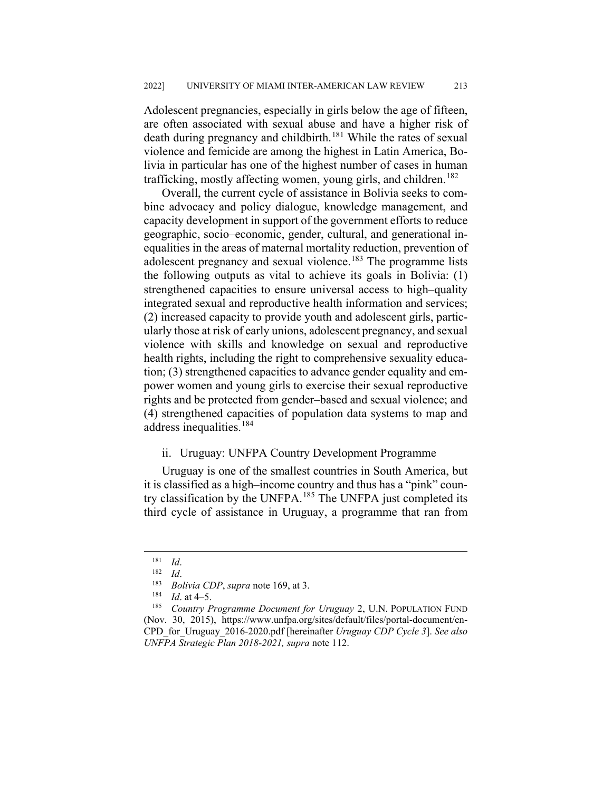Adolescent pregnancies, especially in girls below the age of fifteen, are often associated with sexual abuse and have a higher risk of death during pregnancy and childbirth.<sup>[181](#page-27-0)</sup> While the rates of sexual violence and femicide are among the highest in Latin America, Bolivia in particular has one of the highest number of cases in human trafficking, mostly affecting women, young girls, and children.<sup>[182](#page-27-1)</sup>

Overall, the current cycle of assistance in Bolivia seeks to combine advocacy and policy dialogue, knowledge management, and capacity development in support of the government efforts to reduce geographic, socio–economic, gender, cultural, and generational inequalities in the areas of maternal mortality reduction, prevention of adolescent pregnancy and sexual violence.<sup>[183](#page-27-2)</sup> The programme lists the following outputs as vital to achieve its goals in Bolivia: (1) strengthened capacities to ensure universal access to high–quality integrated sexual and reproductive health information and services; (2) increased capacity to provide youth and adolescent girls, particularly those at risk of early unions, adolescent pregnancy, and sexual violence with skills and knowledge on sexual and reproductive health rights, including the right to comprehensive sexuality education; (3) strengthened capacities to advance gender equality and empower women and young girls to exercise their sexual reproductive rights and be protected from gender–based and sexual violence; and (4) strengthened capacities of population data systems to map and address inequalities.<sup>[184](#page-27-3)</sup>

### ii. Uruguay: UNFPA Country Development Programme

Uruguay is one of the smallest countries in South America, but it is classified as a high–income country and thus has a "pink" coun-try classification by the UNFPA.<sup>[185](#page-27-4)</sup> The UNFPA just completed its third cycle of assistance in Uruguay, a programme that ran from

 $\frac{181}{182}$  *Id.* 

 $\frac{182}{183}$  *Id.* 

<sup>&</sup>lt;sup>183</sup> *Bolivia CDP*, *supra* note 169, at 3.<br><sup>184</sup> *Id* at 4–5

 $\frac{184}{185}$  *Id.* at 4–5.

<span id="page-27-4"></span><span id="page-27-3"></span><span id="page-27-2"></span><span id="page-27-1"></span><span id="page-27-0"></span><sup>185</sup> *Country Programme Document for Uruguay* 2, U.N. POPULATION FUND (Nov. 30, 2015), https://www.unfpa.org/sites/default/files/portal-document/en-CPD\_for\_Uruguay\_2016-2020.pdf [hereinafter *Uruguay CDP Cycle 3*]. *See also UNFPA Strategic Plan 2018-2021, supra* note 112.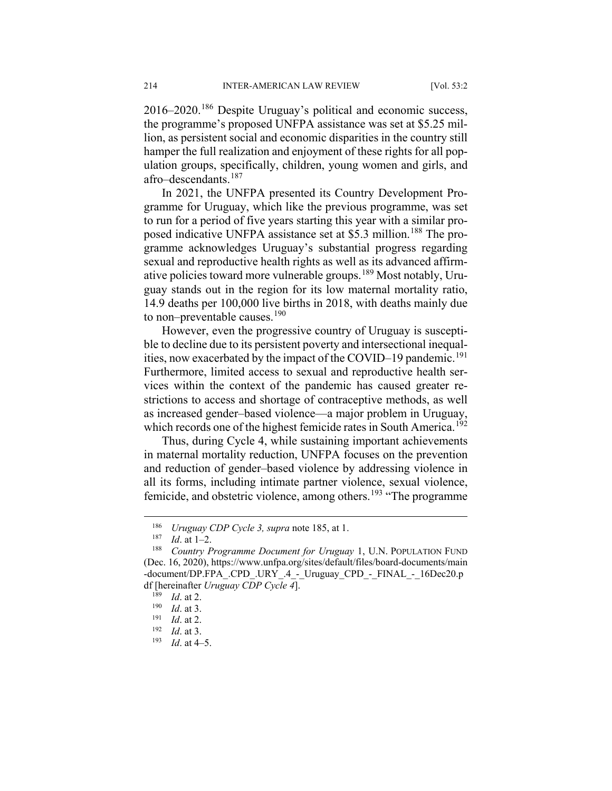2016–2020.[186](#page-28-0) Despite Uruguay's political and economic success, the programme's proposed UNFPA assistance was set at \$5.25 million, as persistent social and economic disparities in the country still hamper the full realization and enjoyment of these rights for all population groups, specifically, children, young women and girls, and afro–descendants.<sup>[187](#page-28-1)</sup>

In 2021, the UNFPA presented its Country Development Programme for Uruguay, which like the previous programme, was set to run for a period of five years starting this year with a similar pro-posed indicative UNFPA assistance set at \$5.3 million.<sup>[188](#page-28-2)</sup> The programme acknowledges Uruguay's substantial progress regarding sexual and reproductive health rights as well as its advanced affirmative policies toward more vulnerable groups.[189](#page-28-3) Most notably, Uruguay stands out in the region for its low maternal mortality ratio, 14.9 deaths per 100,000 live births in 2018, with deaths mainly due to non–preventable causes. $190$ 

However, even the progressive country of Uruguay is susceptible to decline due to its persistent poverty and intersectional inequal-ities, now exacerbated by the impact of the COVID–19 pandemic.<sup>[191](#page-28-5)</sup> Furthermore, limited access to sexual and reproductive health services within the context of the pandemic has caused greater restrictions to access and shortage of contraceptive methods, as well as increased gender–based violence—a major problem in Uruguay, which records one of the highest femicide rates in South America.<sup>[192](#page-28-6)</sup>

Thus, during Cycle 4, while sustaining important achievements in maternal mortality reduction, UNFPA focuses on the prevention and reduction of gender–based violence by addressing violence in all its forms, including intimate partner violence, sexual violence, femicide, and obstetric violence, among others.<sup>[193](#page-28-7)</sup> "The programme"

 <sup>186</sup> *Uruguay CDP Cycle 3, supra* note 185, at 1.

 $\frac{187}{188}$  *Id.* at 1–2.

<span id="page-28-3"></span><span id="page-28-2"></span><span id="page-28-1"></span><span id="page-28-0"></span><sup>188</sup> *Country Programme Document for Uruguay* 1, U.N. POPULATION FUND (Dec. 16, 2020), https://www.unfpa.org/sites/default/files/board-documents/main -document/DP.FPA\_.CPD\_.URY\_.4 - Uruguay\_CPD\_-\_FINAL\_-\_16Dec20.p df [hereinafter *Uruguay CDP Cycle 4*].

 $\frac{189}{190}$  *Id.* at 2.

<span id="page-28-4"></span> $\frac{190}{191}$  *Id.* at 3.

<span id="page-28-6"></span><span id="page-28-5"></span> $\frac{191}{192}$  *Id.* at 2.

<span id="page-28-7"></span> $\frac{192}{193}$  *Id.* at 3.

*Id.* at 4–5.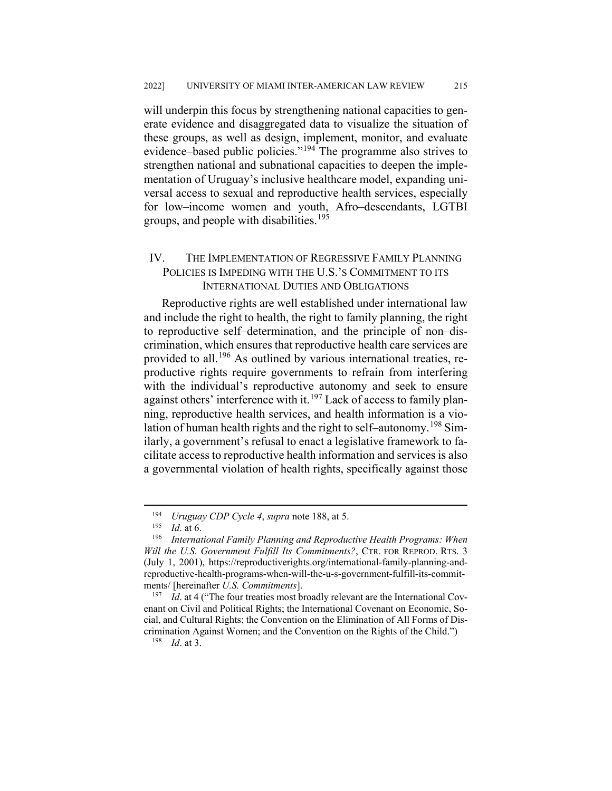will underpin this focus by strengthening national capacities to generate evidence and disaggregated data to visualize the situation of these groups, as well as design, implement, monitor, and evaluate evidence–based public policies."[194](#page-29-0) The programme also strives to strengthen national and subnational capacities to deepen the implementation of Uruguay's inclusive healthcare model, expanding universal access to sexual and reproductive health services, especially for low–income women and youth, Afro–descendants, LGTBI groups, and people with disabilities.<sup>[195](#page-29-1)</sup>

## IV. THE IMPLEMENTATION OF REGRESSIVE FAMILY PLANNING POLICIES IS IMPEDING WITH THE U.S.'S COMMITMENT TO ITS INTERNATIONAL DUTIES AND OBLIGATIONS

Reproductive rights are well established under international law and include the right to health, the right to family planning, the right to reproductive self–determination, and the principle of non–discrimination, which ensures that reproductive health care services are provided to all.<sup>[196](#page-29-2)</sup> As outlined by various international treaties, reproductive rights require governments to refrain from interfering with the individual's reproductive autonomy and seek to ensure against others' interference with it.<sup>[197](#page-29-3)</sup> Lack of access to family planning, reproductive health services, and health information is a vio-lation of human health rights and the right to self–autonomy.<sup>[198](#page-29-4)</sup> Similarly, a government's refusal to enact a legislative framework to facilitate access to reproductive health information and services is also a governmental violation of health rights, specifically against those

 <sup>194</sup> *Uruguay CDP Cycle 4*, *supra* note 188, at 5.

<sup>195</sup> *Id*. at 6.

<span id="page-29-2"></span><span id="page-29-1"></span><span id="page-29-0"></span><sup>196</sup> *International Family Planning and Reproductive Health Programs: When Will the U.S. Government Fulfill Its Commitments?*, CTR. FOR REPROD. RTS. 3 (July 1, 2001), https://reproductiverights.org/international-family-planning-andreproductive-health-programs-when-will-the-u-s-government-fulfill-its-commitments/ [hereinafter *U.S. Commitments*].

<span id="page-29-4"></span><span id="page-29-3"></span><sup>&</sup>lt;sup>197</sup> *Id.* at 4 ("The four treaties most broadly relevant are the International Covenant on Civil and Political Rights; the International Covenant on Economic, Social, and Cultural Rights; the Convention on the Elimination of All Forms of Discrimination Against Women; and the Convention on the Rights of the Child.")

<sup>198</sup> *Id*. at 3.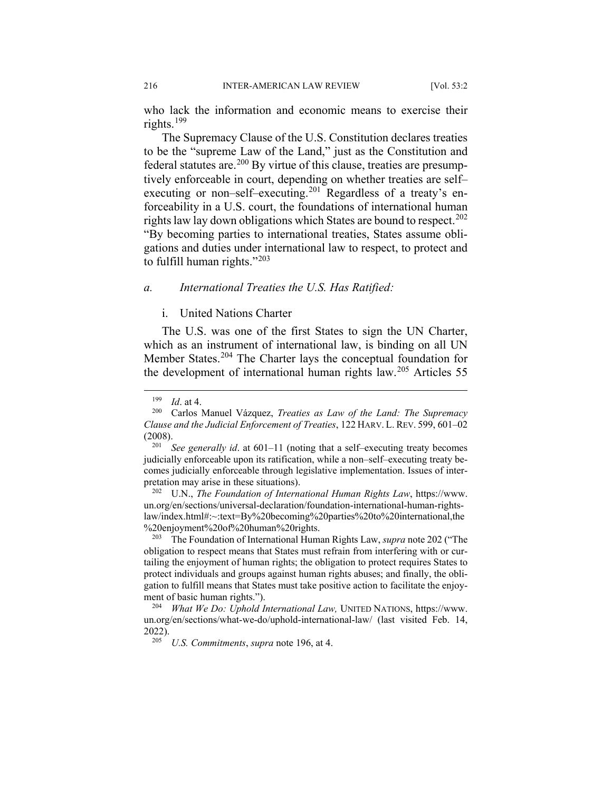who lack the information and economic means to exercise their rights.[199](#page-30-0)

The Supremacy Clause of the U.S. Constitution declares treaties to be the "supreme Law of the Land," just as the Constitution and federal statutes are.<sup>[200](#page-30-1)</sup> By virtue of this clause, treaties are presumptively enforceable in court, depending on whether treaties are self– executing or non–self–executing.<sup>[201](#page-30-2)</sup> Regardless of a treaty's enforceability in a U.S. court, the foundations of international human rights law lay down obligations which States are bound to respect.<sup>[202](#page-30-3)</sup> "By becoming parties to international treaties, States assume obligations and duties under international law to respect, to protect and to fulfill human rights." $203$ 

#### *a. International Treaties the U.S. Has Ratified:*

## i. United Nations Charter

The U.S. was one of the first States to sign the UN Charter, which as an instrument of international law, is binding on all UN Member States.<sup>[204](#page-30-5)</sup> The Charter lays the conceptual foundation for the development of international human rights law.[205](#page-30-6) Articles 55

<span id="page-30-3"></span><sup>202</sup> U.N., *The Foundation of International Human Rights Law*, https://www. un.org/en/sections/universal-declaration/foundation-international-human-rightslaw/index.html#:~:text=By%20becoming%20parties%20to%20international,the %20enjoyment%20of%20human%20rights.

<span id="page-30-4"></span><sup>203</sup> The Foundation of International Human Rights Law, *supra* note 202 ("The obligation to respect means that States must refrain from interfering with or curtailing the enjoyment of human rights; the obligation to protect requires States to protect individuals and groups against human rights abuses; and finally, the obligation to fulfill means that States must take positive action to facilitate the enjoyment of basic human rights."). 204 *What We Do: Uphold International Law,* UNITED NATIONS, https://www.

 $\frac{199}{200}$  *Id.* at 4.

<span id="page-30-1"></span><span id="page-30-0"></span><sup>200</sup> Carlos Manuel Vázquez, *Treaties as Law of the Land: The Supremacy Clause and the Judicial Enforcement of Treaties*, 122 HARV. L. REV. 599, 601–02  $(2008).$ <sub>201</sub>

<span id="page-30-2"></span>*See generally id.* at 601–11 (noting that a self–executing treaty becomes judicially enforceable upon its ratification, while a non–self–executing treaty becomes judicially enforceable through legislative implementation. Issues of interpretation may arise in these situations).

<span id="page-30-6"></span><span id="page-30-5"></span>un.org/en/sections/what-we-do/uphold-international-law/ (last visited Feb. 14,  $2022$ ).

*U.S. Commitments, supra* note 196, at 4.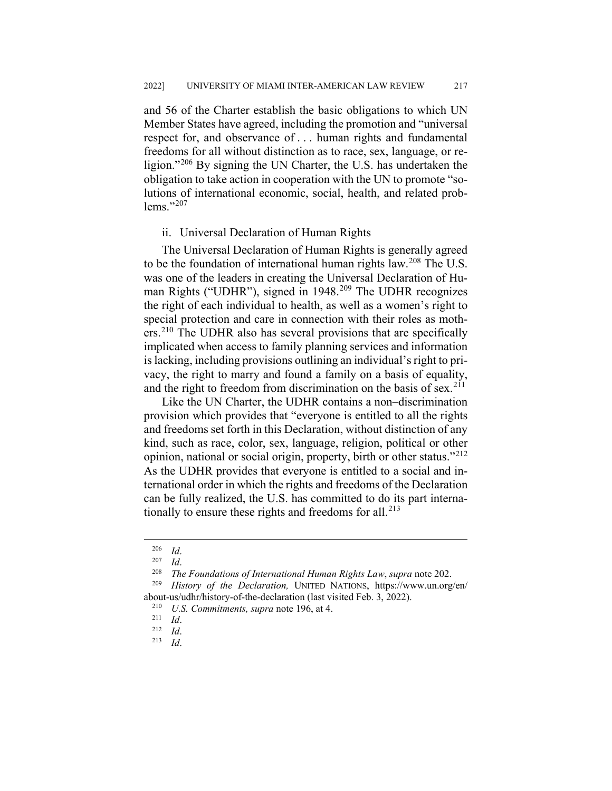and 56 of the Charter establish the basic obligations to which UN Member States have agreed, including the promotion and "universal respect for, and observance of . . . human rights and fundamental freedoms for all without distinction as to race, sex, language, or re-ligion."<sup>[206](#page-31-0)</sup> By signing the UN Charter, the U.S. has undertaken the obligation to take action in cooperation with the UN to promote "solutions of international economic, social, health, and related problems." $^{207}$  $^{207}$  $^{207}$ 

#### ii. Universal Declaration of Human Rights

The Universal Declaration of Human Rights is generally agreed to be the foundation of international human rights law.<sup>[208](#page-31-2)</sup> The U.S. was one of the leaders in creating the Universal Declaration of Hu-man Rights ("UDHR"), signed in 1948.<sup>[209](#page-31-3)</sup> The UDHR recognizes the right of each individual to health, as well as a women's right to special protection and care in connection with their roles as moth-ers.<sup>[210](#page-31-4)</sup> The UDHR also has several provisions that are specifically implicated when access to family planning services and information is lacking, including provisions outlining an individual's right to privacy, the right to marry and found a family on a basis of equality, and the right to freedom from discrimination on the basis of sex.<sup>[211](#page-31-5)</sup>

Like the UN Charter, the UDHR contains a non–discrimination provision which provides that "everyone is entitled to all the rights and freedoms set forth in this Declaration, without distinction of any kind, such as race, color, sex, language, religion, political or other opinion, national or social origin, property, birth or other status."[212](#page-31-6) As the UDHR provides that everyone is entitled to a social and international order in which the rights and freedoms of the Declaration can be fully realized, the U.S. has committed to do its part internationally to ensure these rights and freedoms for all. $^{213}$  $^{213}$  $^{213}$ 

 $\frac{206}{207}$  *Id.* 

 $\frac{207}{208}$  *Id.* 

<sup>208</sup> *The Foundations of International Human Rights Law*, *supra* note 202.

<span id="page-31-6"></span><span id="page-31-5"></span><span id="page-31-4"></span><span id="page-31-3"></span><span id="page-31-2"></span><span id="page-31-1"></span><span id="page-31-0"></span><sup>209</sup> *History of the Declaration,* UNITED NATIONS, https://www.un.org/en/ about-us/udhr/history-of-the-declaration (last visited Feb. 3, 2022).<br><sup>210</sup> *LIS* Commitments supra note 196 at 4

<sup>&</sup>lt;sup>210</sup> *U.S. Commitments, supra* note 196, at 4.<br><sup>211</sup> *M* 

 $\frac{211}{212}$  *Id.* 

<span id="page-31-7"></span> $\frac{212}{213}$  *Id.* 

<sup>213</sup> *Id*.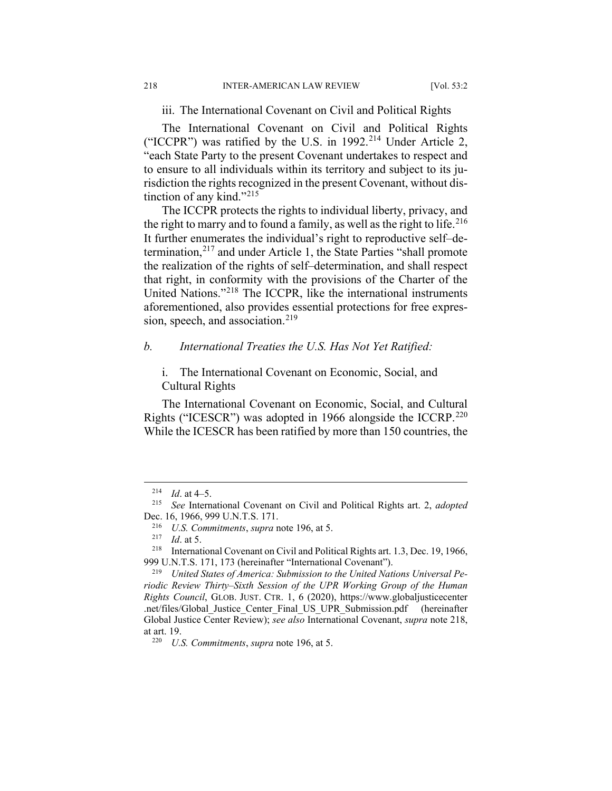iii. The International Covenant on Civil and Political Rights

The International Covenant on Civil and Political Rights ("ICCPR") was ratified by the U.S. in  $1992.^{214}$  $1992.^{214}$  $1992.^{214}$  Under Article 2, "each State Party to the present Covenant undertakes to respect and to ensure to all individuals within its territory and subject to its jurisdiction the rights recognized in the present Covenant, without dis-tinction of any kind."<sup>[215](#page-32-1)</sup>

The ICCPR protects the rights to individual liberty, privacy, and the right to marry and to found a family, as well as the right to life.<sup>[216](#page-32-2)</sup> It further enumerates the individual's right to reproductive self–determination, $2^{17}$  and under Article 1, the State Parties "shall promote the realization of the rights of self–determination, and shall respect that right, in conformity with the provisions of the Charter of the United Nations."[218](#page-32-4) The ICCPR, like the international instruments aforementioned, also provides essential protections for free expression, speech, and association. $219$ 

### *b. International Treaties the U.S. Has Not Yet Ratified:*

i. The International Covenant on Economic, Social, and Cultural Rights

The International Covenant on Economic, Social, and Cultural Rights ("ICESCR") was adopted in 1966 alongside the ICCRP.<sup>[220](#page-32-6)</sup> While the ICESCR has been ratified by more than 150 countries, the

<sup>&</sup>lt;sup>214</sup> *Id.* at 4–5.

<span id="page-32-1"></span><span id="page-32-0"></span><sup>215</sup> *See* International Covenant on Civil and Political Rights art. 2, *adopted*  Dec. 16, 1966, 999 U.N.T.S. 171.

<sup>216</sup> *U.S. Commitments*, *supra* note 196, at 5.

<sup>217</sup> *Id*. at 5.

<span id="page-32-4"></span><span id="page-32-3"></span><span id="page-32-2"></span><sup>218</sup> International Covenant on Civil and Political Rights art. 1.3, Dec. 19, 1966, 999 U.N.T.S. 171, 173 (hereinafter "International Covenant").

<span id="page-32-5"></span><sup>219</sup> *United States of America: Submission to the United Nations Universal Periodic Review Thirty–Sixth Session of the UPR Working Group of the Human Rights Council*, GLOB. JUST. CTR. 1, 6 (2020), https://www.globaljusticecenter .net/files/Global\_Justice\_Center\_Final\_US\_UPR\_Submission.pdf (hereinafter Global Justice Center Review); *see also* International Covenant, *supra* note 218, at art. 19.

<span id="page-32-6"></span><sup>220</sup> *U.S. Commitments*, *supra* note 196, at 5.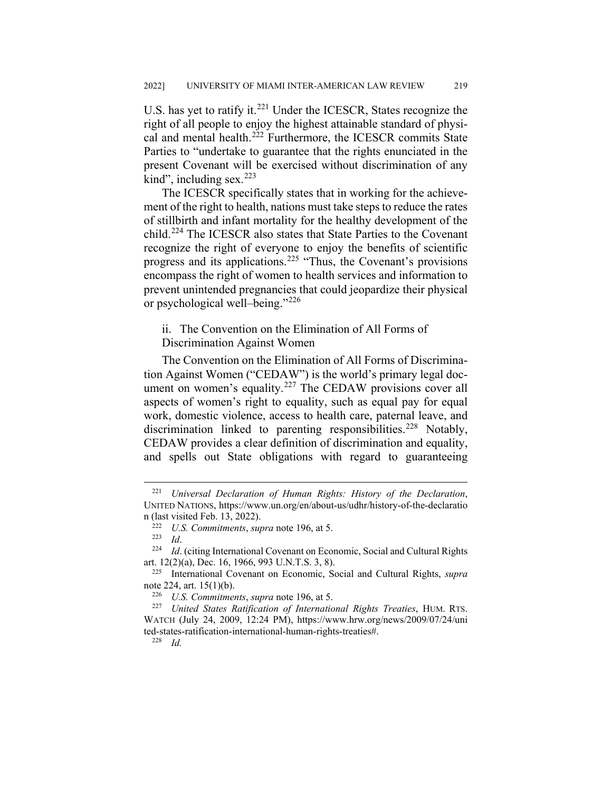U.S. has yet to ratify it.<sup>[221](#page-33-0)</sup> Under the ICESCR, States recognize the right of all people to enjoy the highest attainable standard of physi-cal and mental health.<sup>[222](#page-33-1)</sup> Furthermore, the ICESCR commits State Parties to "undertake to guarantee that the rights enunciated in the present Covenant will be exercised without discrimination of any kind", including sex. $223$ 

The ICESCR specifically states that in working for the achievement of the right to health, nations must take steps to reduce the rates of stillbirth and infant mortality for the healthy development of the child.[224](#page-33-3) The ICESCR also states that State Parties to the Covenant recognize the right of everyone to enjoy the benefits of scientific progress and its applications.[225](#page-33-4) "Thus, the Covenant's provisions encompass the right of women to health services and information to prevent unintended pregnancies that could jeopardize their physical or psychological well–being."[226](#page-33-5)

ii. The Convention on the Elimination of All Forms of

Discrimination Against Women

The Convention on the Elimination of All Forms of Discrimination Against Women ("CEDAW") is the world's primary legal document on women's equality. $227$  The CEDAW provisions cover all aspects of women's right to equality, such as equal pay for equal work, domestic violence, access to health care, paternal leave, and discrimination linked to parenting responsibilities.<sup>[228](#page-33-7)</sup> Notably, CEDAW provides a clear definition of discrimination and equality, and spells out State obligations with regard to guaranteeing

<sup>228</sup> *Id.*

<span id="page-33-0"></span> <sup>221</sup> *Universal Declaration of Human Rights: History of the Declaration*, UNITED NATIONS, https://www.un.org/en/about-us/udhr/history-of-the-declaratio n (last visited Feb. 13, 2022).

<sup>222</sup> *U.S. Commitments*, *supra* note 196, at 5.

<sup>223</sup> *Id*.

<span id="page-33-3"></span><span id="page-33-2"></span><span id="page-33-1"></span><sup>224</sup> *Id*. (citing International Covenant on Economic, Social and Cultural Rights art. 12(2)(a), Dec. 16, 1966, 993 U.N.T.S. 3, 8).

<span id="page-33-4"></span><sup>225</sup> International Covenant on Economic, Social and Cultural Rights, *supra*  note 224, art. 15(1)(b).

<sup>226</sup> *U.S. Commitments*, *supra* note 196, at 5.

<span id="page-33-7"></span><span id="page-33-6"></span><span id="page-33-5"></span><sup>227</sup> *United States Ratification of International Rights Treaties*, HUM. RTS. WATCH (July 24, 2009, 12:24 PM), https://www.hrw.org/news/2009/07/24/uni ted-states-ratification-international-human-rights-treaties#.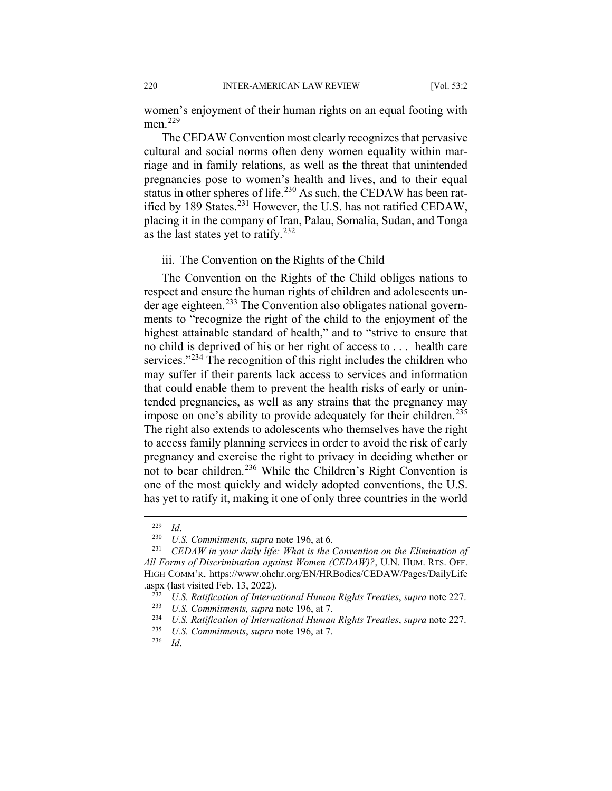women's enjoyment of their human rights on an equal footing with men.<sup>[229](#page-34-0)</sup>

The CEDAW Convention most clearly recognizes that pervasive cultural and social norms often deny women equality within marriage and in family relations, as well as the threat that unintended pregnancies pose to women's health and lives, and to their equal status in other spheres of life.<sup>[230](#page-34-1)</sup> As such, the CEDAW has been rat-ified by 189 States.<sup>[231](#page-34-2)</sup> However, the U.S. has not ratified CEDAW, placing it in the company of Iran, Palau, Somalia, Sudan, and Tonga as the last states yet to ratify.  $232$ 

iii. The Convention on the Rights of the Child

The Convention on the Rights of the Child obliges nations to respect and ensure the human rights of children and adolescents un-der age eighteen.<sup>[233](#page-34-4)</sup> The Convention also obligates national governments to "recognize the right of the child to the enjoyment of the highest attainable standard of health," and to "strive to ensure that no child is deprived of his or her right of access to . . . health care services."<sup>[234](#page-34-5)</sup> The recognition of this right includes the children who may suffer if their parents lack access to services and information that could enable them to prevent the health risks of early or unintended pregnancies, as well as any strains that the pregnancy may impose on one's ability to provide adequately for their children.<sup>[235](#page-34-6)</sup> The right also extends to adolescents who themselves have the right to access family planning services in order to avoid the risk of early pregnancy and exercise the right to privacy in deciding whether or not to bear children.<sup>[236](#page-34-7)</sup> While the Children's Right Convention is one of the most quickly and widely adopted conventions, the U.S. has yet to ratify it, making it one of only three countries in the world

 $\frac{229}{230}$  *Id.* 

<sup>&</sup>lt;sup>230</sup> *U.S. Commitments, supra* note 196, at 6.<br><sup>231</sup> *CEDAW in your daily life: What is the l* 

<span id="page-34-3"></span><span id="page-34-2"></span><span id="page-34-1"></span><span id="page-34-0"></span><sup>231</sup> *CEDAW in your daily life: What is the Convention on the Elimination of All Forms of Discrimination against Women (CEDAW)?*, U.N. HUM. RTS. OFF. HIGH COMM'R, https://www.ohchr.org/EN/HRBodies/CEDAW/Pages/DailyLife .aspx (last visited Feb. 13, 2022).<br> $\frac{232}{I}$  *IIS Ratification of Interna* 

<sup>232</sup> *U.S. Ratification of International Human Rights Treaties*, *supra* note 227.

<span id="page-34-4"></span><sup>233</sup> *U.S. Commitments, supra* note 196, at 7.

<span id="page-34-6"></span><span id="page-34-5"></span><sup>234</sup> *U.S. Ratification of International Human Rights Treaties*, *supra* note 227.

<span id="page-34-7"></span><sup>235</sup> *U.S. Commitments*, *supra* note 196, at 7.

<sup>236</sup> *Id*.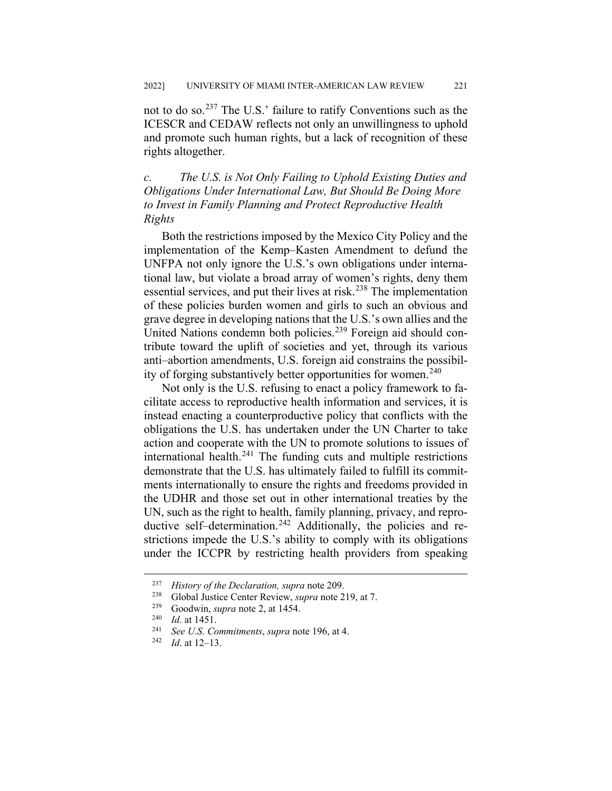not to do so.[237](#page-35-0) The U.S.' failure to ratify Conventions such as the ICESCR and CEDAW reflects not only an unwillingness to uphold and promote such human rights, but a lack of recognition of these rights altogether.

*c. The U.S. is Not Only Failing to Uphold Existing Duties and Obligations Under International Law, But Should Be Doing More to Invest in Family Planning and Protect Reproductive Health Rights*

Both the restrictions imposed by the Mexico City Policy and the implementation of the Kemp–Kasten Amendment to defund the UNFPA not only ignore the U.S.'s own obligations under international law, but violate a broad array of women's rights, deny them essential services, and put their lives at risk.<sup>[238](#page-35-1)</sup> The implementation of these policies burden women and girls to such an obvious and grave degree in developing nations that the U.S.'s own allies and the United Nations condemn both policies.[239](#page-35-2) Foreign aid should contribute toward the uplift of societies and yet, through its various anti–abortion amendments, U.S. foreign aid constrains the possibil-ity of forging substantively better opportunities for women.<sup>[240](#page-35-3)</sup>

Not only is the U.S. refusing to enact a policy framework to facilitate access to reproductive health information and services, it is instead enacting a counterproductive policy that conflicts with the obligations the U.S. has undertaken under the UN Charter to take action and cooperate with the UN to promote solutions to issues of international health. $^{241}$  $^{241}$  $^{241}$  The funding cuts and multiple restrictions demonstrate that the U.S. has ultimately failed to fulfill its commitments internationally to ensure the rights and freedoms provided in the UDHR and those set out in other international treaties by the UN, such as the right to health, family planning, privacy, and repro-ductive self–determination.<sup>[242](#page-35-5)</sup> Additionally, the policies and restrictions impede the U.S.'s ability to comply with its obligations under the ICCPR by restricting health providers from speaking

<span id="page-35-0"></span> <sup>237</sup> *History of the Declaration, supra* note 209.

<span id="page-35-1"></span><sup>238</sup> Global Justice Center Review, *supra* note 219, at 7.

<span id="page-35-2"></span><sup>&</sup>lt;sup>239</sup> Goodwin, *supra* note 2, at 1454.

<span id="page-35-4"></span><span id="page-35-3"></span> $\frac{240}{241}$  *Id.* at 1451.

<span id="page-35-5"></span><sup>241</sup> *See U.S. Commitments*, *supra* note 196, at 4.

*Id.* at 12–13.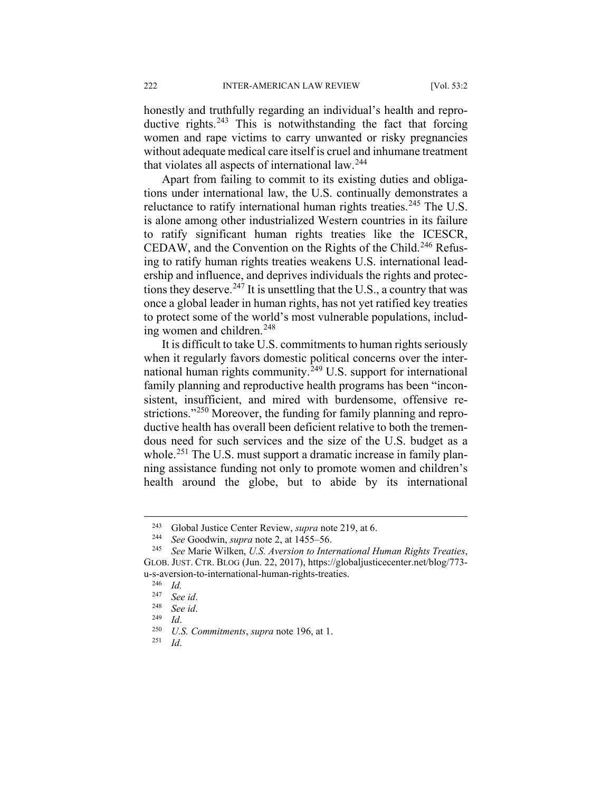honestly and truthfully regarding an individual's health and repro-ductive rights.<sup>[243](#page-36-0)</sup> This is notwithstanding the fact that forcing women and rape victims to carry unwanted or risky pregnancies without adequate medical care itself is cruel and inhumane treatment that violates all aspects of international law.<sup>[244](#page-36-1)</sup>

Apart from failing to commit to its existing duties and obligations under international law, the U.S. continually demonstrates a reluctance to ratify international human rights treaties.<sup>[245](#page-36-2)</sup> The U.S. is alone among other industrialized Western countries in its failure to ratify significant human rights treaties like the ICESCR, CEDAW, and the Convention on the Rights of the Child.<sup>[246](#page-36-3)</sup> Refusing to ratify human rights treaties weakens U.S. international leadership and influence, and deprives individuals the rights and protec-tions they deserve.<sup>[247](#page-36-4)</sup> It is unsettling that the U.S., a country that was once a global leader in human rights, has not yet ratified key treaties to protect some of the world's most vulnerable populations, includ-ing women and children.<sup>[248](#page-36-5)</sup>

It is difficult to take U.S. commitments to human rights seriously when it regularly favors domestic political concerns over the inter-national human rights community.<sup>[249](#page-36-6)</sup> U.S. support for international family planning and reproductive health programs has been "inconsistent, insufficient, and mired with burdensome, offensive re-strictions."<sup>[250](#page-36-7)</sup> Moreover, the funding for family planning and reproductive health has overall been deficient relative to both the tremendous need for such services and the size of the U.S. budget as a whole.<sup>[251](#page-36-8)</sup> The U.S. must support a dramatic increase in family planning assistance funding not only to promote women and children's health around the globe, but to abide by its international

 <sup>243</sup> Global Justice Center Review, *supra* note 219, at 6.

<sup>244</sup> *See* Goodwin, *supra* note 2, at 1455–56.

<span id="page-36-4"></span><span id="page-36-3"></span><span id="page-36-2"></span><span id="page-36-1"></span><span id="page-36-0"></span><sup>245</sup> *See* Marie Wilken, *U.S. Aversion to International Human Rights Treaties*, GLOB. JUST. CTR. BLOG (Jun. 22, 2017), https://globaljusticecenter.net/blog/773 u-s-aversion-to-international-human-rights-treaties.<br> $^{246}$   $Id$ 

 $\frac{246}{247}$  *Id.* 

<sup>247</sup> *See id*.

<span id="page-36-6"></span><span id="page-36-5"></span><sup>248</sup> *See id*.

 $\frac{249}{250}$  *Id.* 

<span id="page-36-8"></span><span id="page-36-7"></span><sup>&</sup>lt;sup>250</sup> *U.S. Commitments, supra* note 196, at 1.

<sup>251</sup> *Id*.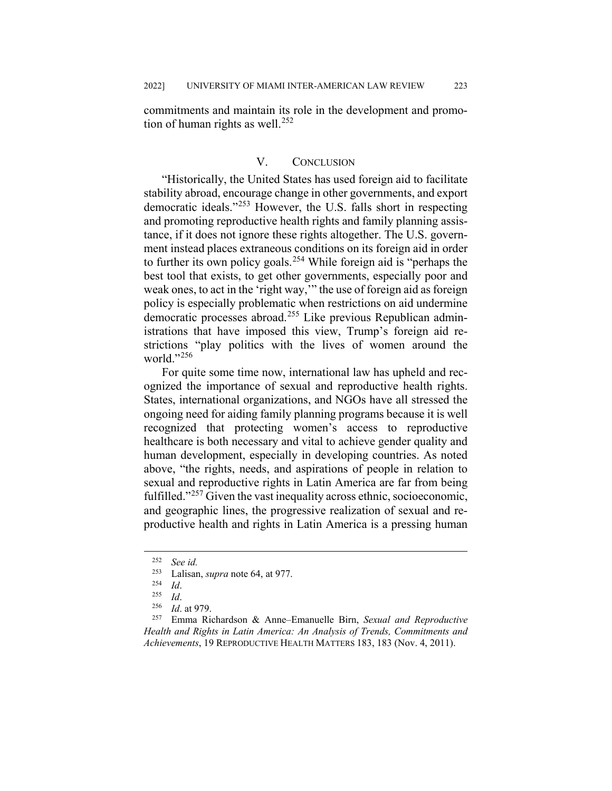commitments and maintain its role in the development and promotion of human rights as well. $252$ 

### V. CONCLUSION

"Historically, the United States has used foreign aid to facilitate stability abroad, encourage change in other governments, and export democratic ideals."[253](#page-37-1) However, the U.S. falls short in respecting and promoting reproductive health rights and family planning assistance, if it does not ignore these rights altogether. The U.S. government instead places extraneous conditions on its foreign aid in order to further its own policy goals.<sup>[254](#page-37-2)</sup> While foreign aid is "perhaps the best tool that exists, to get other governments, especially poor and weak ones, to act in the 'right way,'" the use of foreign aid as foreign policy is especially problematic when restrictions on aid undermine democratic processes abroad.<sup>[255](#page-37-3)</sup> Like previous Republican administrations that have imposed this view, Trump's foreign aid restrictions "play politics with the lives of women around the world."[256](#page-37-4)

For quite some time now, international law has upheld and recognized the importance of sexual and reproductive health rights. States, international organizations, and NGOs have all stressed the ongoing need for aiding family planning programs because it is well recognized that protecting women's access to reproductive healthcare is both necessary and vital to achieve gender quality and human development, especially in developing countries. As noted above, "the rights, needs, and aspirations of people in relation to sexual and reproductive rights in Latin America are far from being fulfilled."[257](#page-37-5) Given the vast inequality across ethnic, socioeconomic, and geographic lines, the progressive realization of sexual and reproductive health and rights in Latin America is a pressing human

<span id="page-37-5"></span><span id="page-37-4"></span><span id="page-37-3"></span><span id="page-37-2"></span><span id="page-37-1"></span><sup>257</sup> Emma Richardson & Anne–Emanuelle Birn, *Sexual and Reproductive Health and Rights in Latin America: An Analysis of Trends, Commitments and Achievements*, 19 REPRODUCTIVE HEALTH MATTERS 183, 183 (Nov. 4, 2011).

<span id="page-37-0"></span> <sup>252</sup> *See id.*

<sup>&</sup>lt;sup>253</sup> Lalisan, *supra* note 64, at 977.<br><sup>254</sup> Id

 $\frac{254}{255}$  *Id.* 

 $\frac{255}{256}$  *Id.* 

*Id.* at 979.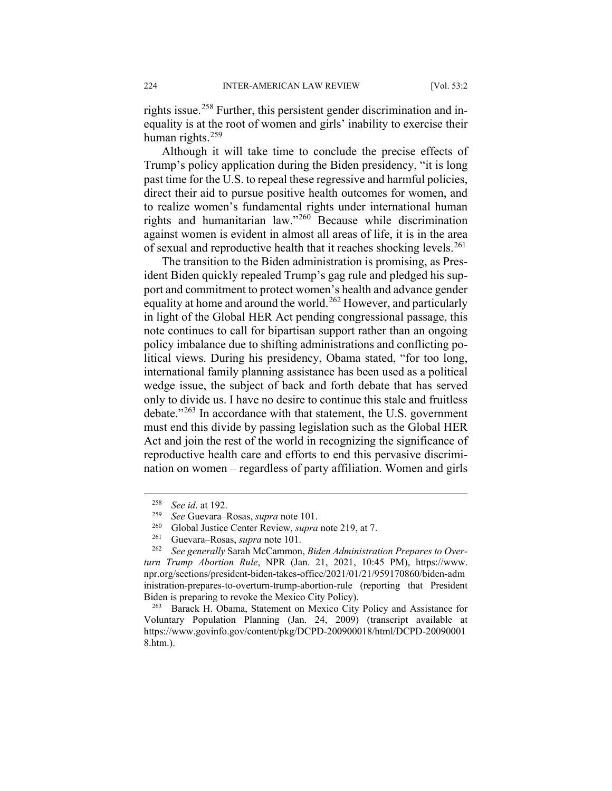rights issue.<sup>[258](#page-38-0)</sup> Further, this persistent gender discrimination and inequality is at the root of women and girls' inability to exercise their human rights. $259$ 

Although it will take time to conclude the precise effects of Trump's policy application during the Biden presidency, "it is long past time for the U.S. to repeal these regressive and harmful policies, direct their aid to pursue positive health outcomes for women, and to realize women's fundamental rights under international human rights and humanitarian law."[260](#page-38-2) Because while discrimination against women is evident in almost all areas of life, it is in the area of sexual and reproductive health that it reaches shocking levels.<sup>[261](#page-38-3)</sup>

The transition to the Biden administration is promising, as President Biden quickly repealed Trump's gag rule and pledged his support and commitment to protect women's health and advance gender equality at home and around the world.<sup>[262](#page-38-4)</sup> However, and particularly in light of the Global HER Act pending congressional passage, this note continues to call for bipartisan support rather than an ongoing policy imbalance due to shifting administrations and conflicting political views. During his presidency, Obama stated, "for too long, international family planning assistance has been used as a political wedge issue, the subject of back and forth debate that has served only to divide us. I have no desire to continue this stale and fruitless debate."<sup>[263](#page-38-5)</sup> In accordance with that statement, the U.S. government must end this divide by passing legislation such as the Global HER Act and join the rest of the world in recognizing the significance of reproductive health care and efforts to end this pervasive discrimination on women – regardless of party affiliation. Women and girls

<span id="page-38-0"></span> <sup>258</sup> *See id*. at 192.

<sup>259</sup> *See* Guevara–Rosas, *supra* note 101.

<sup>&</sup>lt;sup>260</sup> Global Justice Center Review, *supra* note 219, at 7.<br><sup>261</sup> Guevara–Rosas, *supra* note 101

<sup>&</sup>lt;sup>261</sup> Guevara–Rosas, *supra* note 101.<br><sup>262</sup> See generally Sarah McCammon

<span id="page-38-4"></span><span id="page-38-3"></span><span id="page-38-2"></span><span id="page-38-1"></span><sup>262</sup> *See generally* Sarah McCammon, *Biden Administration Prepares to Overturn Trump Abortion Rule*, NPR (Jan. 21, 2021, 10:45 PM), https://www. npr.org/sections/president-biden-takes-office/2021/01/21/959170860/biden-adm inistration-prepares-to-overturn-trump-abortion-rule (reporting that President Biden is preparing to revoke the Mexico City Policy).

<span id="page-38-5"></span><sup>263</sup> Barack H. Obama, Statement on Mexico City Policy and Assistance for Voluntary Population Planning (Jan. 24, 2009) (transcript available at https://www.govinfo.gov/content/pkg/DCPD-200900018/html/DCPD-20090001 8.htm.).